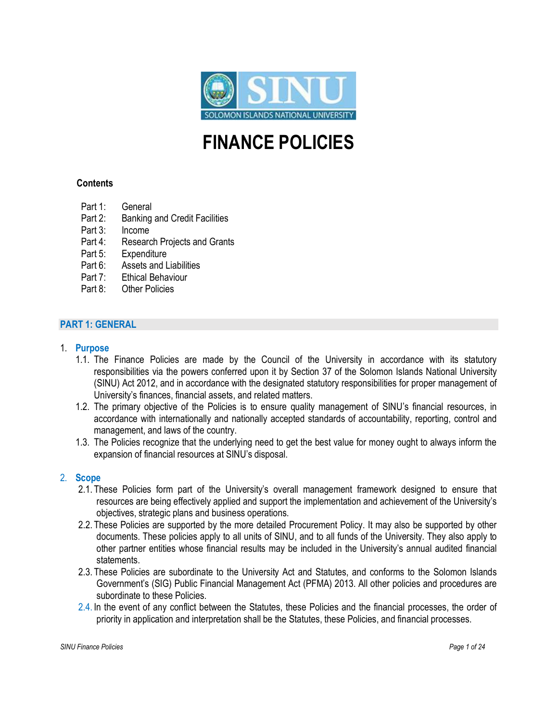

# FINANCE POLICIES

# Contents

- Part 1: General
- Part 2: Banking and Credit Facilities
- Part 3: Income
- Part 4: Research Projects and Grants
- Part 5: Expenditure
- Part 6: Assets and Liabilities
- Part 7: Ethical Behaviour
- Part 8: Other Policies

# PART 1: GENERAL

#### 1. Purpose

- 1.1. The Finance Policies are made by the Council of the University in accordance with its statutory responsibilities via the powers conferred upon it by Section 37 of the Solomon Islands National University (SINU) Act 2012, and in accordance with the designated statutory responsibilities for proper management of University's finances, financial assets, and related matters.
- 1.2. The primary objective of the Policies is to ensure quality management of SINU's financial resources, in accordance with internationally and nationally accepted standards of accountability, reporting, control and management, and laws of the country.
- 1.3. The Policies recognize that the underlying need to get the best value for money ought to always inform the expansion of financial resources at SINU's disposal.

## 2. Scope

- 2.1. These Policies form part of the University's overall management framework designed to ensure that resources are being effectively applied and support the implementation and achievement of the University's objectives, strategic plans and business operations.
- 2.2. These Policies are supported by the more detailed Procurement Policy. It may also be supported by other documents. These policies apply to all units of SINU, and to all funds of the University. They also apply to other partner entities whose financial results may be included in the University's annual audited financial statements.
- 2.3. These Policies are subordinate to the University Act and Statutes, and conforms to the Solomon Islands Government's (SIG) Public Financial Management Act (PFMA) 2013. All other policies and procedures are subordinate to these Policies.
- 2.4. In the event of any conflict between the Statutes, these Policies and the financial processes, the order of priority in application and interpretation shall be the Statutes, these Policies, and financial processes.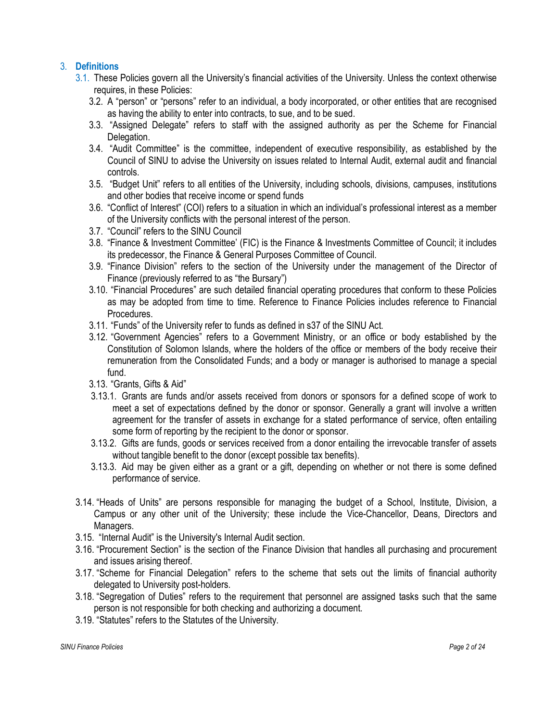# 3. Definitions

- 3.1. These Policies govern all the University's financial activities of the University. Unless the context otherwise requires, in these Policies:
	- 3.2. A "person" or "persons" refer to an individual, a body incorporated, or other entities that are recognised as having the ability to enter into contracts, to sue, and to be sued.
	- 3.3. "Assigned Delegate" refers to staff with the assigned authority as per the Scheme for Financial Delegation.
	- 3.4. "Audit Committee" is the committee, independent of executive responsibility, as established by the Council of SINU to advise the University on issues related to Internal Audit, external audit and financial controls.
	- 3.5. "Budget Unit" refers to all entities of the University, including schools, divisions, campuses, institutions and other bodies that receive income or spend funds
	- 3.6. "Conflict of Interest" (COI) refers to a situation in which an individual's professional interest as a member of the University conflicts with the personal interest of the person.
	- 3.7. "Council" refers to the SINU Council
	- 3.8. "Finance & Investment Committee' (FIC) is the Finance & Investments Committee of Council; it includes its predecessor, the Finance & General Purposes Committee of Council.
	- 3.9. "Finance Division" refers to the section of the University under the management of the Director of Finance (previously referred to as "the Bursary")
	- 3.10. "Financial Procedures" are such detailed financial operating procedures that conform to these Policies as may be adopted from time to time. Reference to Finance Policies includes reference to Financial Procedures.
	- 3.11. "Funds" of the University refer to funds as defined in s37 of the SINU Act.
	- 3.12. "Government Agencies" refers to a Government Ministry, or an office or body established by the Constitution of Solomon Islands, where the holders of the office or members of the body receive their remuneration from the Consolidated Funds; and a body or manager is authorised to manage a special fund.
	- 3.13. "Grants, Gifts & Aid"
	- 3.13.1. Grants are funds and/or assets received from donors or sponsors for a defined scope of work to meet a set of expectations defined by the donor or sponsor. Generally a grant will involve a written agreement for the transfer of assets in exchange for a stated performance of service, often entailing some form of reporting by the recipient to the donor or sponsor.
	- 3.13.2. Gifts are funds, goods or services received from a donor entailing the irrevocable transfer of assets without tangible benefit to the donor (except possible tax benefits).
	- 3.13.3. Aid may be given either as a grant or a gift, depending on whether or not there is some defined performance of service.
- 3.14. "Heads of Units" are persons responsible for managing the budget of a School, Institute, Division, a Campus or any other unit of the University; these include the Vice-Chancellor, Deans, Directors and Managers.
- 3.15. "Internal Audit" is the University's Internal Audit section.
- 3.16. "Procurement Section" is the section of the Finance Division that handles all purchasing and procurement and issues arising thereof.
- 3.17. "Scheme for Financial Delegation" refers to the scheme that sets out the limits of financial authority delegated to University post-holders.
- 3.18. "Segregation of Duties" refers to the requirement that personnel are assigned tasks such that the same person is not responsible for both checking and authorizing a document.
- 3.19. "Statutes" refers to the Statutes of the University.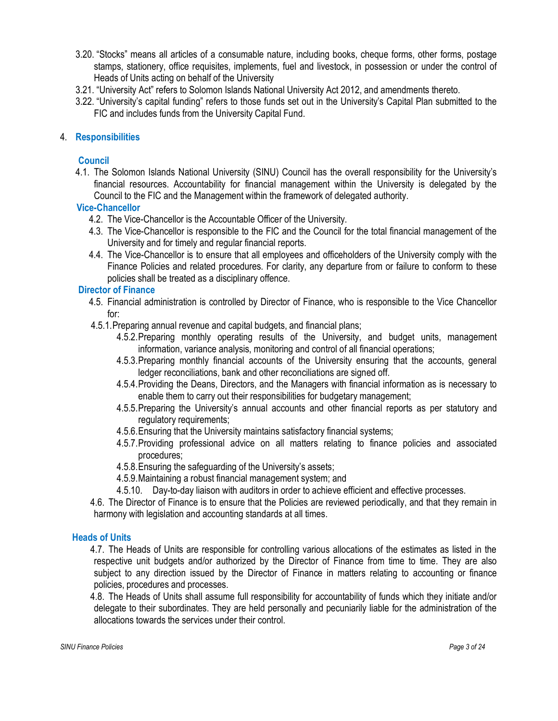- 3.20. "Stocks" means all articles of a consumable nature, including books, cheque forms, other forms, postage stamps, stationery, office requisites, implements, fuel and livestock, in possession or under the control of Heads of Units acting on behalf of the University
- 3.21. "University Act" refers to Solomon Islands National University Act 2012, and amendments thereto.
- 3.22. "University's capital funding" refers to those funds set out in the University's Capital Plan submitted to the FIC and includes funds from the University Capital Fund.

# 4. Responsibilities

# **Council**

4.1. The Solomon Islands National University (SINU) Council has the overall responsibility for the University's financial resources. Accountability for financial management within the University is delegated by the Council to the FIC and the Management within the framework of delegated authority.

# Vice-Chancellor

- 4.2. The Vice-Chancellor is the Accountable Officer of the University.
- 4.3. The Vice-Chancellor is responsible to the FIC and the Council for the total financial management of the University and for timely and regular financial reports.
- 4.4. The Vice-Chancellor is to ensure that all employees and officeholders of the University comply with the Finance Policies and related procedures. For clarity, any departure from or failure to conform to these policies shall be treated as a disciplinary offence.

# Director of Finance

- 4.5. Financial administration is controlled by Director of Finance, who is responsible to the Vice Chancellor for:
- 4.5.1.Preparing annual revenue and capital budgets, and financial plans;
	- 4.5.2.Preparing monthly operating results of the University, and budget units, management information, variance analysis, monitoring and control of all financial operations;
	- 4.5.3.Preparing monthly financial accounts of the University ensuring that the accounts, general ledger reconciliations, bank and other reconciliations are signed off.
	- 4.5.4.Providing the Deans, Directors, and the Managers with financial information as is necessary to enable them to carry out their responsibilities for budgetary management;
	- 4.5.5.Preparing the University's annual accounts and other financial reports as per statutory and regulatory requirements;
	- 4.5.6.Ensuring that the University maintains satisfactory financial systems;
	- 4.5.7.Providing professional advice on all matters relating to finance policies and associated procedures;
	- 4.5.8.Ensuring the safeguarding of the University's assets;
	- 4.5.9.Maintaining a robust financial management system; and
	- 4.5.10. Day-to-day liaison with auditors in order to achieve efficient and effective processes.

4.6. The Director of Finance is to ensure that the Policies are reviewed periodically, and that they remain in harmony with legislation and accounting standards at all times.

# Heads of Units

4.7. The Heads of Units are responsible for controlling various allocations of the estimates as listed in the respective unit budgets and/or authorized by the Director of Finance from time to time. They are also subject to any direction issued by the Director of Finance in matters relating to accounting or finance policies, procedures and processes.

4.8. The Heads of Units shall assume full responsibility for accountability of funds which they initiate and/or delegate to their subordinates. They are held personally and pecuniarily liable for the administration of the allocations towards the services under their control.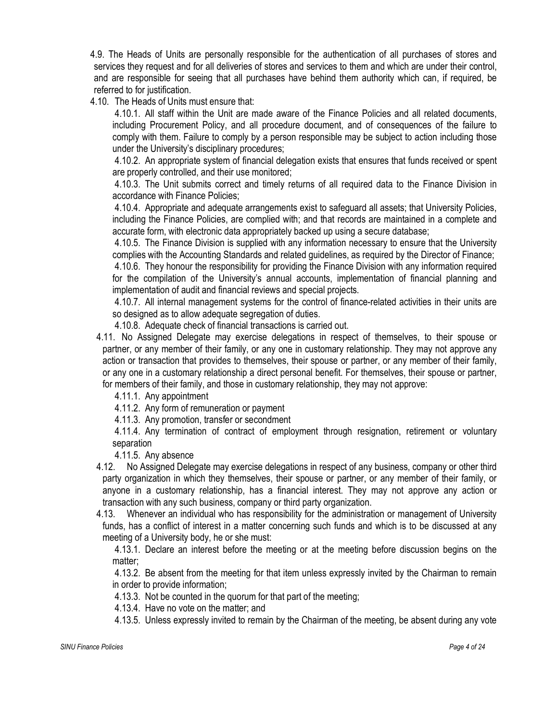4.9. The Heads of Units are personally responsible for the authentication of all purchases of stores and services they request and for all deliveries of stores and services to them and which are under their control, and are responsible for seeing that all purchases have behind them authority which can, if required, be referred to for justification.

4.10. The Heads of Units must ensure that:

4.10.1. All staff within the Unit are made aware of the Finance Policies and all related documents, including Procurement Policy, and all procedure document, and of consequences of the failure to comply with them. Failure to comply by a person responsible may be subject to action including those under the University's disciplinary procedures;

4.10.2. An appropriate system of financial delegation exists that ensures that funds received or spent are properly controlled, and their use monitored;

4.10.3. The Unit submits correct and timely returns of all required data to the Finance Division in accordance with Finance Policies;

4.10.4. Appropriate and adequate arrangements exist to safeguard all assets; that University Policies, including the Finance Policies, are complied with; and that records are maintained in a complete and accurate form, with electronic data appropriately backed up using a secure database;

4.10.5. The Finance Division is supplied with any information necessary to ensure that the University complies with the Accounting Standards and related guidelines, as required by the Director of Finance;

4.10.6. They honour the responsibility for providing the Finance Division with any information required for the compilation of the University's annual accounts, implementation of financial planning and implementation of audit and financial reviews and special projects.

4.10.7. All internal management systems for the control of finance-related activities in their units are so designed as to allow adequate segregation of duties.

4.10.8. Adequate check of financial transactions is carried out.

4.11. No Assigned Delegate may exercise delegations in respect of themselves, to their spouse or partner, or any member of their family, or any one in customary relationship. They may not approve any action or transaction that provides to themselves, their spouse or partner, or any member of their family, or any one in a customary relationship a direct personal benefit. For themselves, their spouse or partner, for members of their family, and those in customary relationship, they may not approve:

4.11.1. Any appointment

4.11.2. Any form of remuneration or payment

4.11.3. Any promotion, transfer or secondment

4.11.4. Any termination of contract of employment through resignation, retirement or voluntary separation

4.11.5. Any absence

4.12. No Assigned Delegate may exercise delegations in respect of any business, company or other third party organization in which they themselves, their spouse or partner, or any member of their family, or anyone in a customary relationship, has a financial interest. They may not approve any action or transaction with any such business, company or third party organization.

4.13. Whenever an individual who has responsibility for the administration or management of University funds, has a conflict of interest in a matter concerning such funds and which is to be discussed at any meeting of a University body, he or she must:

4.13.1. Declare an interest before the meeting or at the meeting before discussion begins on the matter;

4.13.2. Be absent from the meeting for that item unless expressly invited by the Chairman to remain in order to provide information;

4.13.3. Not be counted in the quorum for that part of the meeting;

4.13.4. Have no vote on the matter; and

4.13.5. Unless expressly invited to remain by the Chairman of the meeting, be absent during any vote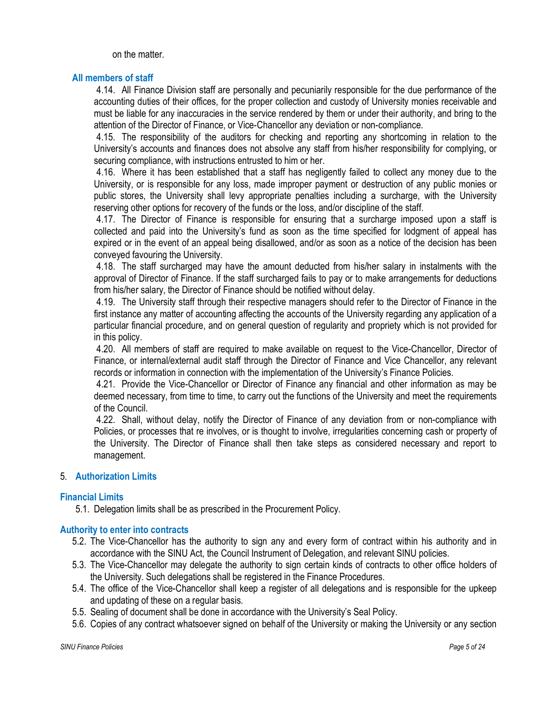on the matter.

# All members of staff

4.14. All Finance Division staff are personally and pecuniarily responsible for the due performance of the accounting duties of their offices, for the proper collection and custody of University monies receivable and must be liable for any inaccuracies in the service rendered by them or under their authority, and bring to the attention of the Director of Finance, or Vice-Chancellor any deviation or non-compliance.

4.15. The responsibility of the auditors for checking and reporting any shortcoming in relation to the University's accounts and finances does not absolve any staff from his/her responsibility for complying, or securing compliance, with instructions entrusted to him or her.

4.16. Where it has been established that a staff has negligently failed to collect any money due to the University, or is responsible for any loss, made improper payment or destruction of any public monies or public stores, the University shall levy appropriate penalties including a surcharge, with the University reserving other options for recovery of the funds or the loss, and/or discipline of the staff.

4.17. The Director of Finance is responsible for ensuring that a surcharge imposed upon a staff is collected and paid into the University's fund as soon as the time specified for lodgment of appeal has expired or in the event of an appeal being disallowed, and/or as soon as a notice of the decision has been conveyed favouring the University.

4.18. The staff surcharged may have the amount deducted from his/her salary in instalments with the approval of Director of Finance. If the staff surcharged fails to pay or to make arrangements for deductions from his/her salary, the Director of Finance should be notified without delay.

4.19. The University staff through their respective managers should refer to the Director of Finance in the first instance any matter of accounting affecting the accounts of the University regarding any application of a particular financial procedure, and on general question of regularity and propriety which is not provided for in this policy.

4.20. All members of staff are required to make available on request to the Vice-Chancellor, Director of Finance, or internal/external audit staff through the Director of Finance and Vice Chancellor, any relevant records or information in connection with the implementation of the University's Finance Policies.

4.21. Provide the Vice-Chancellor or Director of Finance any financial and other information as may be deemed necessary, from time to time, to carry out the functions of the University and meet the requirements of the Council.

4.22. Shall, without delay, notify the Director of Finance of any deviation from or non-compliance with Policies, or processes that re involves, or is thought to involve, irregularities concerning cash or property of the University. The Director of Finance shall then take steps as considered necessary and report to management.

# 5. Authorization Limits

## Financial Limits

5.1. Delegation limits shall be as prescribed in the Procurement Policy.

## Authority to enter into contracts

- 5.2. The Vice-Chancellor has the authority to sign any and every form of contract within his authority and in accordance with the SINU Act, the Council Instrument of Delegation, and relevant SINU policies.
- 5.3. The Vice-Chancellor may delegate the authority to sign certain kinds of contracts to other office holders of the University. Such delegations shall be registered in the Finance Procedures.
- 5.4. The office of the Vice-Chancellor shall keep a register of all delegations and is responsible for the upkeep and updating of these on a regular basis.
- 5.5. Sealing of document shall be done in accordance with the University's Seal Policy.
- 5.6. Copies of any contract whatsoever signed on behalf of the University or making the University or any section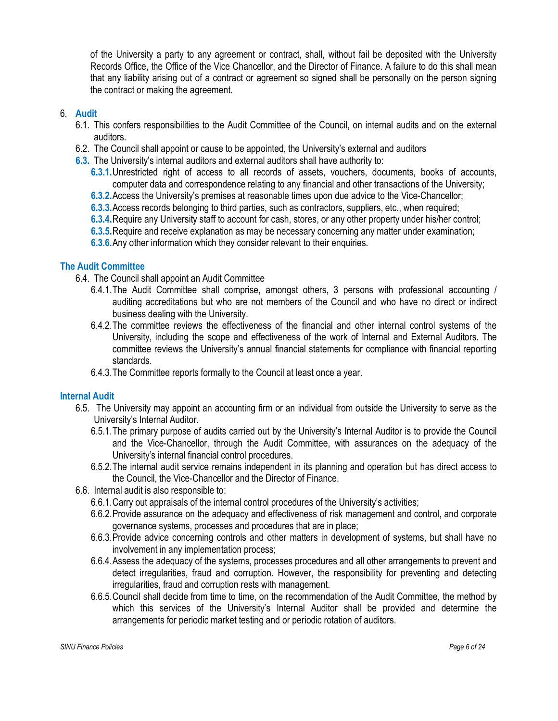of the University a party to any agreement or contract, shall, without fail be deposited with the University Records Office, the Office of the Vice Chancellor, and the Director of Finance. A failure to do this shall mean that any liability arising out of a contract or agreement so signed shall be personally on the person signing the contract or making the agreement.

# 6. Audit

- 6.1. This confers responsibilities to the Audit Committee of the Council, on internal audits and on the external auditors.
- 6.2. The Council shall appoint or cause to be appointed, the University's external and auditors
- 6.3. The University's internal auditors and external auditors shall have authority to:
	- 6.3.1.Unrestricted right of access to all records of assets, vouchers, documents, books of accounts, computer data and correspondence relating to any financial and other transactions of the University;
	- 6.3.2.Access the University's premises at reasonable times upon due advice to the Vice-Chancellor;
	- 6.3.3.Access records belonging to third parties, such as contractors, suppliers, etc., when required;
	- 6.3.4.Require any University staff to account for cash, stores, or any other property under his/her control;
	- 6.3.5.Require and receive explanation as may be necessary concerning any matter under examination;
	- 6.3.6.Any other information which they consider relevant to their enquiries.

# The Audit Committee

- 6.4. The Council shall appoint an Audit Committee
	- 6.4.1.The Audit Committee shall comprise, amongst others, 3 persons with professional accounting / auditing accreditations but who are not members of the Council and who have no direct or indirect business dealing with the University.
	- 6.4.2.The committee reviews the effectiveness of the financial and other internal control systems of the University, including the scope and effectiveness of the work of Internal and External Auditors. The committee reviews the University's annual financial statements for compliance with financial reporting standards.
	- 6.4.3.The Committee reports formally to the Council at least once a year.

## Internal Audit

- 6.5. The University may appoint an accounting firm or an individual from outside the University to serve as the University's Internal Auditor.
	- 6.5.1.The primary purpose of audits carried out by the University's Internal Auditor is to provide the Council and the Vice-Chancellor, through the Audit Committee, with assurances on the adequacy of the University's internal financial control procedures.
	- 6.5.2.The internal audit service remains independent in its planning and operation but has direct access to the Council, the Vice-Chancellor and the Director of Finance.
- 6.6. Internal audit is also responsible to:
	- 6.6.1.Carry out appraisals of the internal control procedures of the University's activities;
	- 6.6.2.Provide assurance on the adequacy and effectiveness of risk management and control, and corporate governance systems, processes and procedures that are in place;
	- 6.6.3.Provide advice concerning controls and other matters in development of systems, but shall have no involvement in any implementation process;
	- 6.6.4.Assess the adequacy of the systems, processes procedures and all other arrangements to prevent and detect irregularities, fraud and corruption. However, the responsibility for preventing and detecting irregularities, fraud and corruption rests with management.
	- 6.6.5.Council shall decide from time to time, on the recommendation of the Audit Committee, the method by which this services of the University's Internal Auditor shall be provided and determine the arrangements for periodic market testing and or periodic rotation of auditors.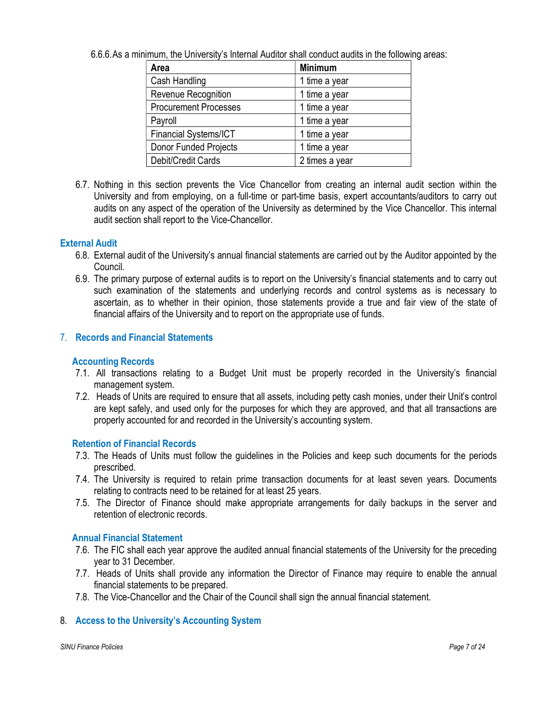|  | 6.6.6. As a minimum, the University's Internal Auditor shall conduct audits in the following areas: |
|--|-----------------------------------------------------------------------------------------------------|
|--|-----------------------------------------------------------------------------------------------------|

| Area                         | <b>Minimum</b> |
|------------------------------|----------------|
| Cash Handling                | 1 time a year  |
| Revenue Recognition          | 1 time a year  |
| <b>Procurement Processes</b> | 1 time a year  |
| Payroll                      | 1 time a year  |
| Financial Systems/ICT        | 1 time a year  |
| <b>Donor Funded Projects</b> | 1 time a year  |
| Debit/Credit Cards           | 2 times a year |

6.7. Nothing in this section prevents the Vice Chancellor from creating an internal audit section within the University and from employing, on a full-time or part-time basis, expert accountants/auditors to carry out audits on any aspect of the operation of the University as determined by the Vice Chancellor. This internal audit section shall report to the Vice-Chancellor.

# External Audit

- 6.8. External audit of the University's annual financial statements are carried out by the Auditor appointed by the Council.
- 6.9. The primary purpose of external audits is to report on the University's financial statements and to carry out such examination of the statements and underlying records and control systems as is necessary to ascertain, as to whether in their opinion, those statements provide a true and fair view of the state of financial affairs of the University and to report on the appropriate use of funds.

# 7. Records and Financial Statements

## Accounting Records

- 7.1. All transactions relating to a Budget Unit must be properly recorded in the University's financial management system.
- 7.2. Heads of Units are required to ensure that all assets, including petty cash monies, under their Unit's control are kept safely, and used only for the purposes for which they are approved, and that all transactions are properly accounted for and recorded in the University's accounting system.

# Retention of Financial Records

- 7.3. The Heads of Units must follow the guidelines in the Policies and keep such documents for the periods prescribed.
- 7.4. The University is required to retain prime transaction documents for at least seven years. Documents relating to contracts need to be retained for at least 25 years.
- 7.5. The Director of Finance should make appropriate arrangements for daily backups in the server and retention of electronic records.

## Annual Financial Statement

- 7.6. The FIC shall each year approve the audited annual financial statements of the University for the preceding year to 31 December.
- 7.7. Heads of Units shall provide any information the Director of Finance may require to enable the annual financial statements to be prepared.
- 7.8. The Vice-Chancellor and the Chair of the Council shall sign the annual financial statement.

# 8. Access to the University's Accounting System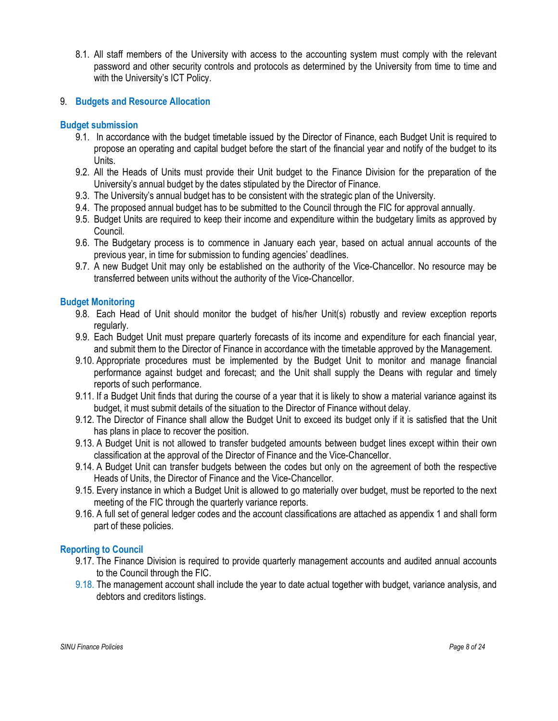8.1. All staff members of the University with access to the accounting system must comply with the relevant password and other security controls and protocols as determined by the University from time to time and with the University's ICT Policy.

# 9. Budgets and Resource Allocation

## Budget submission

- 9.1. In accordance with the budget timetable issued by the Director of Finance, each Budget Unit is required to propose an operating and capital budget before the start of the financial year and notify of the budget to its Units.
- 9.2. All the Heads of Units must provide their Unit budget to the Finance Division for the preparation of the University's annual budget by the dates stipulated by the Director of Finance.
- 9.3. The University's annual budget has to be consistent with the strategic plan of the University.
- 9.4. The proposed annual budget has to be submitted to the Council through the FIC for approval annually.
- 9.5. Budget Units are required to keep their income and expenditure within the budgetary limits as approved by Council.
- 9.6. The Budgetary process is to commence in January each year, based on actual annual accounts of the previous year, in time for submission to funding agencies' deadlines.
- 9.7. A new Budget Unit may only be established on the authority of the Vice-Chancellor. No resource may be transferred between units without the authority of the Vice-Chancellor.

# Budget Monitoring

- 9.8. Each Head of Unit should monitor the budget of his/her Unit(s) robustly and review exception reports regularly.
- 9.9. Each Budget Unit must prepare quarterly forecasts of its income and expenditure for each financial year, and submit them to the Director of Finance in accordance with the timetable approved by the Management.
- 9.10. Appropriate procedures must be implemented by the Budget Unit to monitor and manage financial performance against budget and forecast; and the Unit shall supply the Deans with regular and timely reports of such performance.
- 9.11. If a Budget Unit finds that during the course of a year that it is likely to show a material variance against its budget, it must submit details of the situation to the Director of Finance without delay.
- 9.12. The Director of Finance shall allow the Budget Unit to exceed its budget only if it is satisfied that the Unit has plans in place to recover the position.
- 9.13. A Budget Unit is not allowed to transfer budgeted amounts between budget lines except within their own classification at the approval of the Director of Finance and the Vice-Chancellor.
- 9.14. A Budget Unit can transfer budgets between the codes but only on the agreement of both the respective Heads of Units, the Director of Finance and the Vice-Chancellor.
- 9.15. Every instance in which a Budget Unit is allowed to go materially over budget, must be reported to the next meeting of the FIC through the quarterly variance reports.
- 9.16. A full set of general ledger codes and the account classifications are attached as appendix 1 and shall form part of these policies.

# Reporting to Council

- 9.17. The Finance Division is required to provide quarterly management accounts and audited annual accounts to the Council through the FIC.
- 9.18. The management account shall include the year to date actual together with budget, variance analysis, and debtors and creditors listings.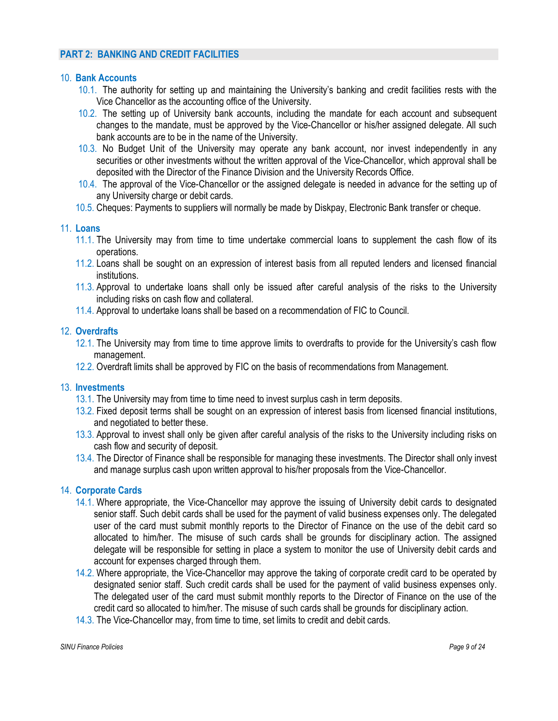# PART 2: BANKING AND CREDIT FACILITIES

#### 10. Bank Accounts

- 10.1. The authority for setting up and maintaining the University's banking and credit facilities rests with the Vice Chancellor as the accounting office of the University.
- 10.2. The setting up of University bank accounts, including the mandate for each account and subsequent changes to the mandate, must be approved by the Vice-Chancellor or his/her assigned delegate. All such bank accounts are to be in the name of the University.
- 10.3. No Budget Unit of the University may operate any bank account, nor invest independently in any securities or other investments without the written approval of the Vice-Chancellor, which approval shall be deposited with the Director of the Finance Division and the University Records Office.
- 10.4. The approval of the Vice-Chancellor or the assigned delegate is needed in advance for the setting up of any University charge or debit cards.
- 10.5. Cheques: Payments to suppliers will normally be made by Diskpay, Electronic Bank transfer or cheque.

## 11. Loans

- 11.1. The University may from time to time undertake commercial loans to supplement the cash flow of its operations.
- 11.2. Loans shall be sought on an expression of interest basis from all reputed lenders and licensed financial institutions.
- 11.3. Approval to undertake loans shall only be issued after careful analysis of the risks to the University including risks on cash flow and collateral.
- 11.4. Approval to undertake loans shall be based on a recommendation of FIC to Council.

## 12. Overdrafts

- 12.1. The University may from time to time approve limits to overdrafts to provide for the University's cash flow management.
- 12.2. Overdraft limits shall be approved by FIC on the basis of recommendations from Management.

## 13. Investments

- 13.1. The University may from time to time need to invest surplus cash in term deposits.
- 13.2. Fixed deposit terms shall be sought on an expression of interest basis from licensed financial institutions, and negotiated to better these.
- 13.3. Approval to invest shall only be given after careful analysis of the risks to the University including risks on cash flow and security of deposit.
- 13.4. The Director of Finance shall be responsible for managing these investments. The Director shall only invest and manage surplus cash upon written approval to his/her proposals from the Vice-Chancellor.

## 14. Corporate Cards

- 14.1. Where appropriate, the Vice-Chancellor may approve the issuing of University debit cards to designated senior staff. Such debit cards shall be used for the payment of valid business expenses only. The delegated user of the card must submit monthly reports to the Director of Finance on the use of the debit card so allocated to him/her. The misuse of such cards shall be grounds for disciplinary action. The assigned delegate will be responsible for setting in place a system to monitor the use of University debit cards and account for expenses charged through them.
- 14.2. Where appropriate, the Vice-Chancellor may approve the taking of corporate credit card to be operated by designated senior staff. Such credit cards shall be used for the payment of valid business expenses only. The delegated user of the card must submit monthly reports to the Director of Finance on the use of the credit card so allocated to him/her. The misuse of such cards shall be grounds for disciplinary action.
- 14.3. The Vice-Chancellor may, from time to time, set limits to credit and debit cards.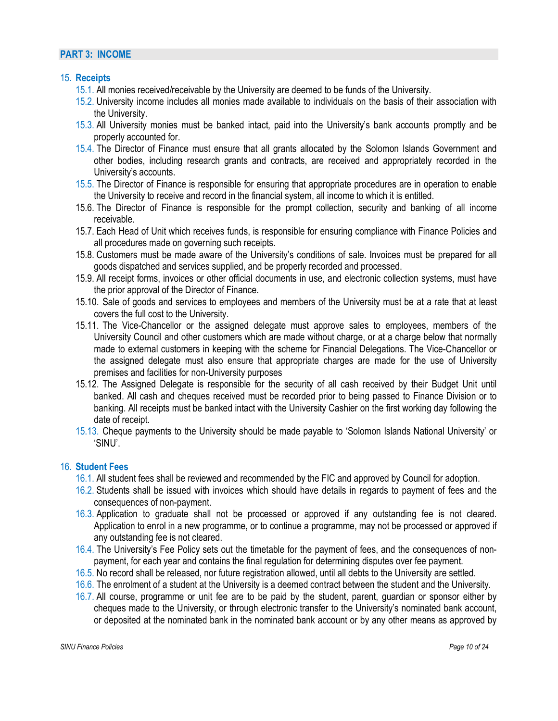#### PART 3: INCOME

#### 15. Receipts

- 15.1. All monies received/receivable by the University are deemed to be funds of the University.
- 15.2. University income includes all monies made available to individuals on the basis of their association with the University.
- 15.3. All University monies must be banked intact, paid into the University's bank accounts promptly and be properly accounted for.
- 15.4. The Director of Finance must ensure that all grants allocated by the Solomon Islands Government and other bodies, including research grants and contracts, are received and appropriately recorded in the University's accounts.
- 15.5. The Director of Finance is responsible for ensuring that appropriate procedures are in operation to enable the University to receive and record in the financial system, all income to which it is entitled.
- 15.6. The Director of Finance is responsible for the prompt collection, security and banking of all income receivable.
- 15.7. Each Head of Unit which receives funds, is responsible for ensuring compliance with Finance Policies and all procedures made on governing such receipts.
- 15.8. Customers must be made aware of the University's conditions of sale. Invoices must be prepared for all goods dispatched and services supplied, and be properly recorded and processed.
- 15.9. All receipt forms, invoices or other official documents in use, and electronic collection systems, must have the prior approval of the Director of Finance.
- 15.10. Sale of goods and services to employees and members of the University must be at a rate that at least covers the full cost to the University.
- 15.11. The Vice-Chancellor or the assigned delegate must approve sales to employees, members of the University Council and other customers which are made without charge, or at a charge below that normally made to external customers in keeping with the scheme for Financial Delegations. The Vice-Chancellor or the assigned delegate must also ensure that appropriate charges are made for the use of University premises and facilities for non-University purposes
- 15.12. The Assigned Delegate is responsible for the security of all cash received by their Budget Unit until banked. All cash and cheques received must be recorded prior to being passed to Finance Division or to banking. All receipts must be banked intact with the University Cashier on the first working day following the date of receipt.
- 15.13. Cheque payments to the University should be made payable to 'Solomon Islands National University' or 'SINU'.

## 16. Student Fees

- 16.1. All student fees shall be reviewed and recommended by the FIC and approved by Council for adoption.
- 16.2. Students shall be issued with invoices which should have details in regards to payment of fees and the consequences of non-payment.
- 16.3. Application to graduate shall not be processed or approved if any outstanding fee is not cleared. Application to enrol in a new programme, or to continue a programme, may not be processed or approved if any outstanding fee is not cleared.
- 16.4. The University's Fee Policy sets out the timetable for the payment of fees, and the consequences of nonpayment, for each year and contains the final regulation for determining disputes over fee payment.
- 16.5. No record shall be released, nor future registration allowed, until all debts to the University are settled.
- 16.6. The enrolment of a student at the University is a deemed contract between the student and the University.
- 16.7. All course, programme or unit fee are to be paid by the student, parent, guardian or sponsor either by cheques made to the University, or through electronic transfer to the University's nominated bank account, or deposited at the nominated bank in the nominated bank account or by any other means as approved by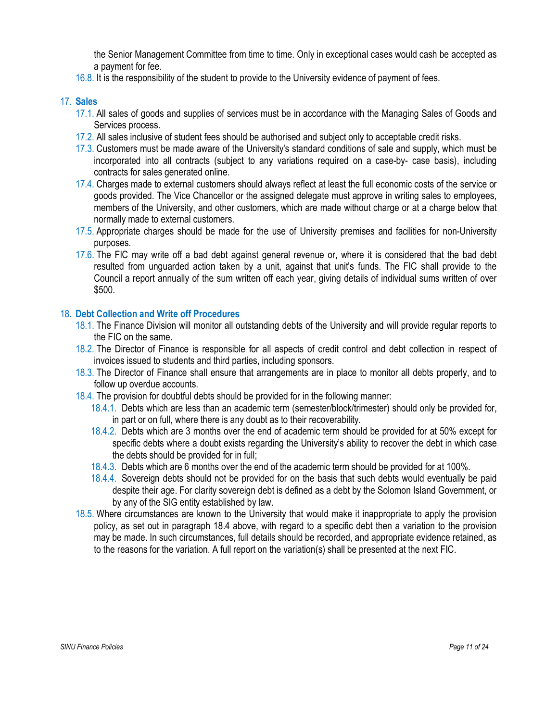the Senior Management Committee from time to time. Only in exceptional cases would cash be accepted as a payment for fee.

16.8. It is the responsibility of the student to provide to the University evidence of payment of fees.

## 17. Sales

- 17.1. All sales of goods and supplies of services must be in accordance with the Managing Sales of Goods and Services process.
- 17.2. All sales inclusive of student fees should be authorised and subject only to acceptable credit risks.
- 17.3. Customers must be made aware of the University's standard conditions of sale and supply, which must be incorporated into all contracts (subject to any variations required on a case-by- case basis), including contracts for sales generated online.
- 17.4. Charges made to external customers should always reflect at least the full economic costs of the service or goods provided. The Vice Chancellor or the assigned delegate must approve in writing sales to employees, members of the University, and other customers, which are made without charge or at a charge below that normally made to external customers.
- 17.5. Appropriate charges should be made for the use of University premises and facilities for non-University purposes.
- 17.6. The FIC may write off a bad debt against general revenue or, where it is considered that the bad debt resulted from unguarded action taken by a unit, against that unit's funds. The FIC shall provide to the Council a report annually of the sum written off each year, giving details of individual sums written of over \$500.

# 18. Debt Collection and Write off Procedures

- 18.1. The Finance Division will monitor all outstanding debts of the University and will provide regular reports to the FIC on the same.
- 18.2. The Director of Finance is responsible for all aspects of credit control and debt collection in respect of invoices issued to students and third parties, including sponsors.
- 18.3. The Director of Finance shall ensure that arrangements are in place to monitor all debts properly, and to follow up overdue accounts.
- 18.4. The provision for doubtful debts should be provided for in the following manner:
	- 18.4.1. Debts which are less than an academic term (semester/block/trimester) should only be provided for, in part or on full, where there is any doubt as to their recoverability.
	- 18.4.2. Debts which are 3 months over the end of academic term should be provided for at 50% except for specific debts where a doubt exists regarding the University's ability to recover the debt in which case the debts should be provided for in full;
	- 18.4.3. Debts which are 6 months over the end of the academic term should be provided for at 100%.
	- 18.4.4. Sovereign debts should not be provided for on the basis that such debts would eventually be paid despite their age. For clarity sovereign debt is defined as a debt by the Solomon Island Government, or by any of the SIG entity established by law.
- 18.5. Where circumstances are known to the University that would make it inappropriate to apply the provision policy, as set out in paragraph 18.4 above, with regard to a specific debt then a variation to the provision may be made. In such circumstances, full details should be recorded, and appropriate evidence retained, as to the reasons for the variation. A full report on the variation(s) shall be presented at the next FIC.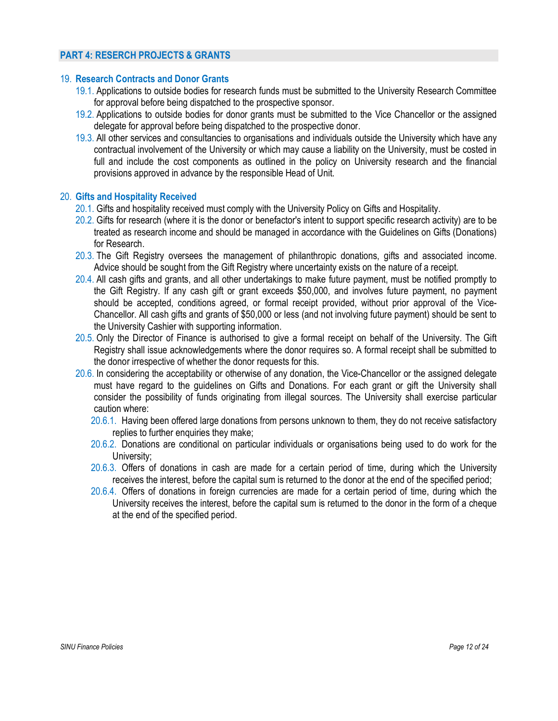# PART 4: RESERCH PROJECTS & GRANTS

#### 19. Research Contracts and Donor Grants

- 19.1. Applications to outside bodies for research funds must be submitted to the University Research Committee for approval before being dispatched to the prospective sponsor.
- 19.2. Applications to outside bodies for donor grants must be submitted to the Vice Chancellor or the assigned delegate for approval before being dispatched to the prospective donor.
- 19.3. All other services and consultancies to organisations and individuals outside the University which have any contractual involvement of the University or which may cause a liability on the University, must be costed in full and include the cost components as outlined in the policy on University research and the financial provisions approved in advance by the responsible Head of Unit.

#### 20. Gifts and Hospitality Received

- 20.1. Gifts and hospitality received must comply with the University Policy on Gifts and Hospitality.
- 20.2. Gifts for research (where it is the donor or benefactor's intent to support specific research activity) are to be treated as research income and should be managed in accordance with the Guidelines on Gifts (Donations) for Research.
- 20.3. The Gift Registry oversees the management of philanthropic donations, gifts and associated income. Advice should be sought from the Gift Registry where uncertainty exists on the nature of a receipt.
- 20.4. All cash gifts and grants, and all other undertakings to make future payment, must be notified promptly to the Gift Registry. If any cash gift or grant exceeds \$50,000, and involves future payment, no payment should be accepted, conditions agreed, or formal receipt provided, without prior approval of the Vice-Chancellor. All cash gifts and grants of \$50,000 or less (and not involving future payment) should be sent to the University Cashier with supporting information.
- 20.5. Only the Director of Finance is authorised to give a formal receipt on behalf of the University. The Gift Registry shall issue acknowledgements where the donor requires so. A formal receipt shall be submitted to the donor irrespective of whether the donor requests for this.
- 20.6. In considering the acceptability or otherwise of any donation, the Vice-Chancellor or the assigned delegate must have regard to the guidelines on Gifts and Donations. For each grant or gift the University shall consider the possibility of funds originating from illegal sources. The University shall exercise particular caution where:
	- 20.6.1. Having been offered large donations from persons unknown to them, they do not receive satisfactory replies to further enquiries they make;
	- 20.6.2. Donations are conditional on particular individuals or organisations being used to do work for the University;
	- 20.6.3. Offers of donations in cash are made for a certain period of time, during which the University receives the interest, before the capital sum is returned to the donor at the end of the specified period;
	- 20.6.4. Offers of donations in foreign currencies are made for a certain period of time, during which the University receives the interest, before the capital sum is returned to the donor in the form of a cheque at the end of the specified period.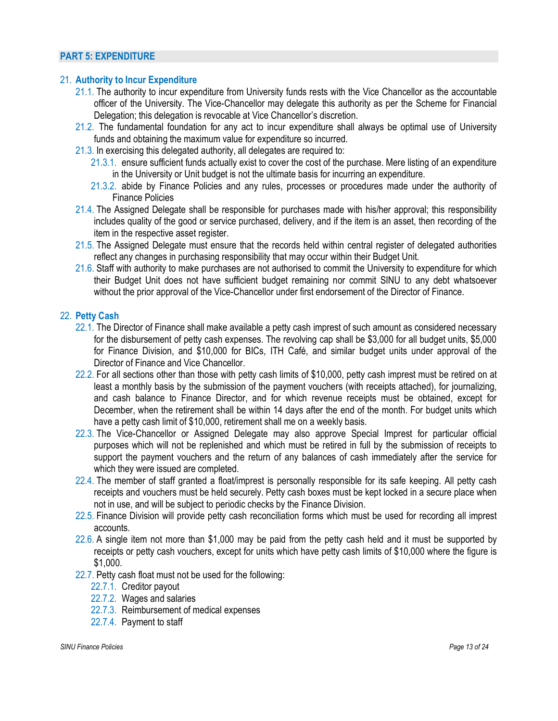## PART 5: EXPENDITURE

## 21. Authority to Incur Expenditure

- 21.1. The authority to incur expenditure from University funds rests with the Vice Chancellor as the accountable officer of the University. The Vice-Chancellor may delegate this authority as per the Scheme for Financial Delegation; this delegation is revocable at Vice Chancellor's discretion.
- 21.2. The fundamental foundation for any act to incur expenditure shall always be optimal use of University funds and obtaining the maximum value for expenditure so incurred.
- 21.3. In exercising this delegated authority, all delegates are required to:
	- 21.3.1. ensure sufficient funds actually exist to cover the cost of the purchase. Mere listing of an expenditure in the University or Unit budget is not the ultimate basis for incurring an expenditure.
	- 21.3.2. abide by Finance Policies and any rules, processes or procedures made under the authority of Finance Policies
- 21.4. The Assigned Delegate shall be responsible for purchases made with his/her approval; this responsibility includes quality of the good or service purchased, delivery, and if the item is an asset, then recording of the item in the respective asset register.
- 21.5. The Assigned Delegate must ensure that the records held within central register of delegated authorities reflect any changes in purchasing responsibility that may occur within their Budget Unit.
- 21.6. Staff with authority to make purchases are not authorised to commit the University to expenditure for which their Budget Unit does not have sufficient budget remaining nor commit SINU to any debt whatsoever without the prior approval of the Vice-Chancellor under first endorsement of the Director of Finance.

# 22. Petty Cash

- 22.1. The Director of Finance shall make available a petty cash imprest of such amount as considered necessary for the disbursement of petty cash expenses. The revolving cap shall be \$3,000 for all budget units, \$5,000 for Finance Division, and \$10,000 for BICs, ITH Café, and similar budget units under approval of the Director of Finance and Vice Chancellor.
- 22.2. For all sections other than those with petty cash limits of \$10,000, petty cash imprest must be retired on at least a monthly basis by the submission of the payment vouchers (with receipts attached), for journalizing, and cash balance to Finance Director, and for which revenue receipts must be obtained, except for December, when the retirement shall be within 14 days after the end of the month. For budget units which have a petty cash limit of \$10,000, retirement shall me on a weekly basis.
- 22.3. The Vice-Chancellor or Assigned Delegate may also approve Special Imprest for particular official purposes which will not be replenished and which must be retired in full by the submission of receipts to support the payment vouchers and the return of any balances of cash immediately after the service for which they were issued are completed.
- 22.4. The member of staff granted a float/imprest is personally responsible for its safe keeping. All petty cash receipts and vouchers must be held securely. Petty cash boxes must be kept locked in a secure place when not in use, and will be subject to periodic checks by the Finance Division.
- 22.5. Finance Division will provide petty cash reconciliation forms which must be used for recording all imprest accounts.
- 22.6. A single item not more than \$1,000 may be paid from the petty cash held and it must be supported by receipts or petty cash vouchers, except for units which have petty cash limits of \$10,000 where the figure is \$1,000.
- 22.7. Petty cash float must not be used for the following:
	- 22.7.1. Creditor payout
	- 22.7.2. Wages and salaries
	- 22.7.3. Reimbursement of medical expenses
	- 22.7.4. Payment to staff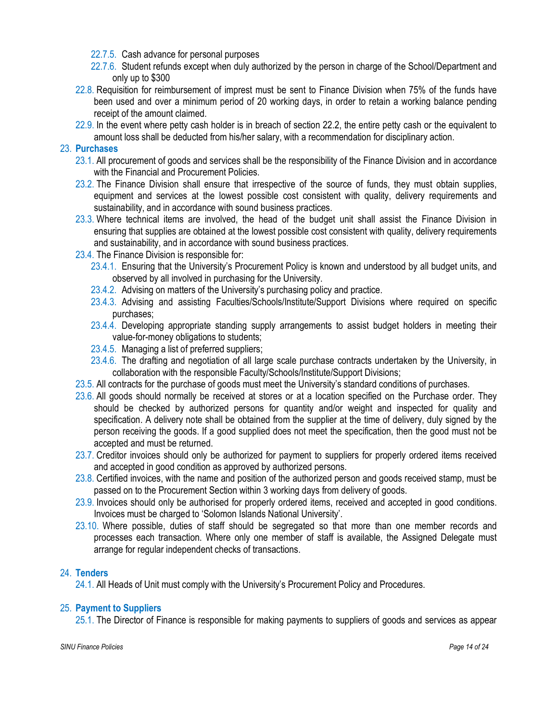- 22.7.5. Cash advance for personal purposes
- 22.7.6. Student refunds except when duly authorized by the person in charge of the School/Department and only up to \$300
- 22.8. Requisition for reimbursement of imprest must be sent to Finance Division when 75% of the funds have been used and over a minimum period of 20 working days, in order to retain a working balance pending receipt of the amount claimed.
- 22.9. In the event where petty cash holder is in breach of section 22.2, the entire petty cash or the equivalent to amount loss shall be deducted from his/her salary, with a recommendation for disciplinary action.

# 23. Purchases

- 23.1. All procurement of goods and services shall be the responsibility of the Finance Division and in accordance with the Financial and Procurement Policies.
- 23.2. The Finance Division shall ensure that irrespective of the source of funds, they must obtain supplies, equipment and services at the lowest possible cost consistent with quality, delivery requirements and sustainability, and in accordance with sound business practices.
- 23.3. Where technical items are involved, the head of the budget unit shall assist the Finance Division in ensuring that supplies are obtained at the lowest possible cost consistent with quality, delivery requirements and sustainability, and in accordance with sound business practices.
- 23.4. The Finance Division is responsible for:
	- 23.4.1. Ensuring that the University's Procurement Policy is known and understood by all budget units, and observed by all involved in purchasing for the University.
	- 23.4.2. Advising on matters of the University's purchasing policy and practice.
	- 23.4.3. Advising and assisting Faculties/Schools/Institute/Support Divisions where required on specific purchases;
	- 23.4.4. Developing appropriate standing supply arrangements to assist budget holders in meeting their value-for-money obligations to students;
	- 23.4.5. Managing a list of preferred suppliers;
	- 23.4.6. The drafting and negotiation of all large scale purchase contracts undertaken by the University, in collaboration with the responsible Faculty/Schools/Institute/Support Divisions;
- 23.5. All contracts for the purchase of goods must meet the University's standard conditions of purchases.
- 23.6. All goods should normally be received at stores or at a location specified on the Purchase order. They should be checked by authorized persons for quantity and/or weight and inspected for quality and specification. A delivery note shall be obtained from the supplier at the time of delivery, duly signed by the person receiving the goods. If a good supplied does not meet the specification, then the good must not be accepted and must be returned.
- 23.7. Creditor invoices should only be authorized for payment to suppliers for properly ordered items received and accepted in good condition as approved by authorized persons.
- 23.8. Certified invoices, with the name and position of the authorized person and goods received stamp, must be passed on to the Procurement Section within 3 working days from delivery of goods.
- 23.9. Invoices should only be authorised for properly ordered items, received and accepted in good conditions. Invoices must be charged to 'Solomon Islands National University'.
- 23.10. Where possible, duties of staff should be segregated so that more than one member records and processes each transaction. Where only one member of staff is available, the Assigned Delegate must arrange for regular independent checks of transactions.

# 24. Tenders

24.1. All Heads of Unit must comply with the University's Procurement Policy and Procedures.

# 25. Payment to Suppliers

25.1. The Director of Finance is responsible for making payments to suppliers of goods and services as appear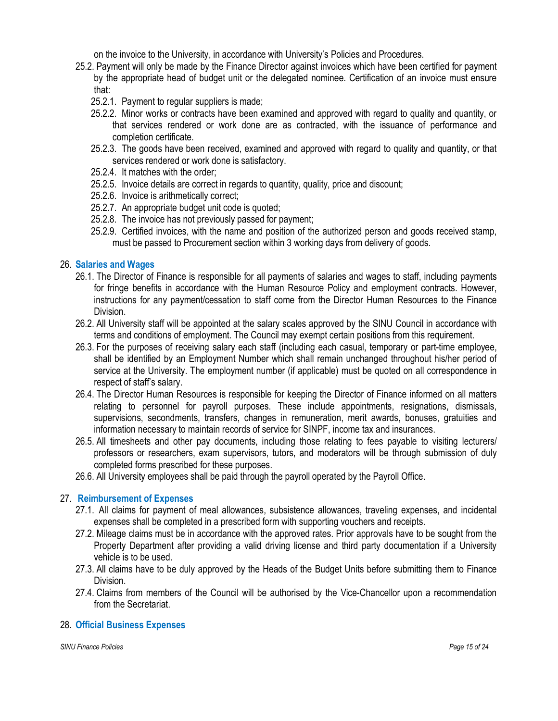on the invoice to the University, in accordance with University's Policies and Procedures.

- 25.2. Payment will only be made by the Finance Director against invoices which have been certified for payment by the appropriate head of budget unit or the delegated nominee. Certification of an invoice must ensure that:
	- 25.2.1. Payment to regular suppliers is made;
	- 25.2.2. Minor works or contracts have been examined and approved with regard to quality and quantity, or that services rendered or work done are as contracted, with the issuance of performance and completion certificate.
	- 25.2.3. The goods have been received, examined and approved with regard to quality and quantity, or that services rendered or work done is satisfactory.
	- 25.2.4. It matches with the order;
	- 25.2.5. Invoice details are correct in regards to quantity, quality, price and discount;
	- 25.2.6. Invoice is arithmetically correct;
	- 25.2.7. An appropriate budget unit code is quoted;
	- 25.2.8. The invoice has not previously passed for payment;
	- 25.2.9. Certified invoices, with the name and position of the authorized person and goods received stamp, must be passed to Procurement section within 3 working days from delivery of goods.

## 26. Salaries and Wages

- 26.1. The Director of Finance is responsible for all payments of salaries and wages to staff, including payments for fringe benefits in accordance with the Human Resource Policy and employment contracts. However, instructions for any payment/cessation to staff come from the Director Human Resources to the Finance Division.
- 26.2. All University staff will be appointed at the salary scales approved by the SINU Council in accordance with terms and conditions of employment. The Council may exempt certain positions from this requirement.
- 26.3. For the purposes of receiving salary each staff (including each casual, temporary or part-time employee, shall be identified by an Employment Number which shall remain unchanged throughout his/her period of service at the University. The employment number (if applicable) must be quoted on all correspondence in respect of staff's salary.
- 26.4. The Director Human Resources is responsible for keeping the Director of Finance informed on all matters relating to personnel for payroll purposes. These include appointments, resignations, dismissals, supervisions, secondments, transfers, changes in remuneration, merit awards, bonuses, gratuities and information necessary to maintain records of service for SINPF, income tax and insurances.
- 26.5. All timesheets and other pay documents, including those relating to fees payable to visiting lecturers/ professors or researchers, exam supervisors, tutors, and moderators will be through submission of duly completed forms prescribed for these purposes.
- 26.6. All University employees shall be paid through the payroll operated by the Payroll Office.

## 27. Reimbursement of Expenses

- 27.1. All claims for payment of meal allowances, subsistence allowances, traveling expenses, and incidental expenses shall be completed in a prescribed form with supporting vouchers and receipts.
- 27.2. Mileage claims must be in accordance with the approved rates. Prior approvals have to be sought from the Property Department after providing a valid driving license and third party documentation if a University vehicle is to be used.
- 27.3. All claims have to be duly approved by the Heads of the Budget Units before submitting them to Finance Division.
- 27.4. Claims from members of the Council will be authorised by the Vice-Chancellor upon a recommendation from the Secretariat.

## 28. Official Business Expenses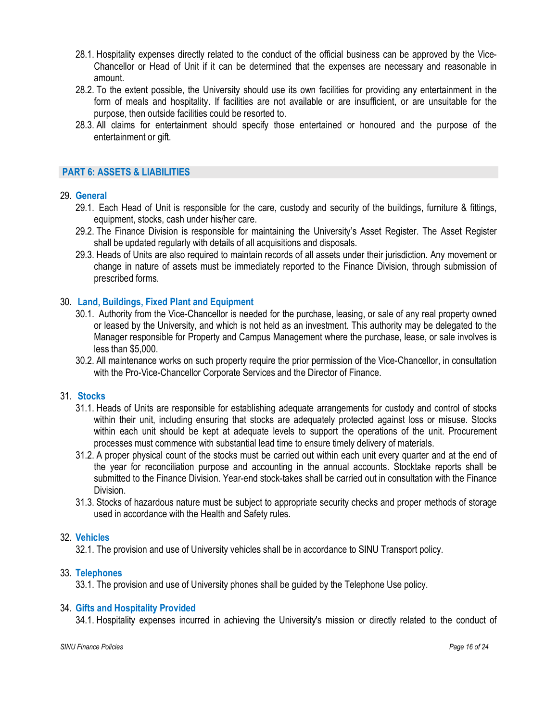- 28.1. Hospitality expenses directly related to the conduct of the official business can be approved by the Vice-Chancellor or Head of Unit if it can be determined that the expenses are necessary and reasonable in amount.
- 28.2. To the extent possible, the University should use its own facilities for providing any entertainment in the form of meals and hospitality. If facilities are not available or are insufficient, or are unsuitable for the purpose, then outside facilities could be resorted to.
- 28.3. All claims for entertainment should specify those entertained or honoured and the purpose of the entertainment or gift.

## PART 6: ASSETS & LIABILITIES

## 29. General

- 29.1. Each Head of Unit is responsible for the care, custody and security of the buildings, furniture & fittings, equipment, stocks, cash under his/her care.
- 29.2. The Finance Division is responsible for maintaining the University's Asset Register. The Asset Register shall be updated regularly with details of all acquisitions and disposals.
- 29.3. Heads of Units are also required to maintain records of all assets under their jurisdiction. Any movement or change in nature of assets must be immediately reported to the Finance Division, through submission of prescribed forms.

## 30. Land, Buildings, Fixed Plant and Equipment

- 30.1. Authority from the Vice-Chancellor is needed for the purchase, leasing, or sale of any real property owned or leased by the University, and which is not held as an investment. This authority may be delegated to the Manager responsible for Property and Campus Management where the purchase, lease, or sale involves is less than \$5,000.
- 30.2. All maintenance works on such property require the prior permission of the Vice-Chancellor, in consultation with the Pro-Vice-Chancellor Corporate Services and the Director of Finance.

## 31. Stocks

- 31.1. Heads of Units are responsible for establishing adequate arrangements for custody and control of stocks within their unit, including ensuring that stocks are adequately protected against loss or misuse. Stocks within each unit should be kept at adequate levels to support the operations of the unit. Procurement processes must commence with substantial lead time to ensure timely delivery of materials.
- 31.2. A proper physical count of the stocks must be carried out within each unit every quarter and at the end of the year for reconciliation purpose and accounting in the annual accounts. Stocktake reports shall be submitted to the Finance Division. Year-end stock-takes shall be carried out in consultation with the Finance Division.
- 31.3. Stocks of hazardous nature must be subject to appropriate security checks and proper methods of storage used in accordance with the Health and Safety rules.

## 32. Vehicles

32.1. The provision and use of University vehicles shall be in accordance to SINU Transport policy.

## 33. Telephones

33.1. The provision and use of University phones shall be guided by the Telephone Use policy.

## 34. Gifts and Hospitality Provided

34.1. Hospitality expenses incurred in achieving the University's mission or directly related to the conduct of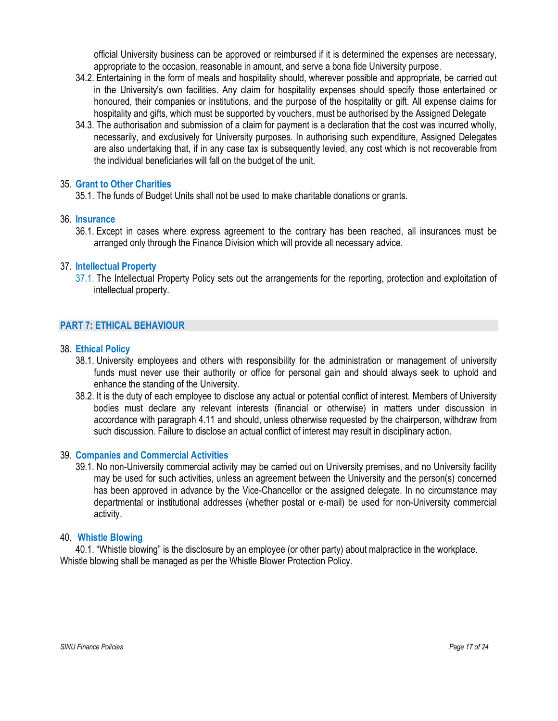official University business can be approved or reimbursed if it is determined the expenses are necessary, appropriate to the occasion, reasonable in amount, and serve a bona fide University purpose.

- 34.2. Entertaining in the form of meals and hospitality should, wherever possible and appropriate, be carried out in the University's own facilities. Any claim for hospitality expenses should specify those entertained or honoured, their companies or institutions, and the purpose of the hospitality or gift. All expense claims for hospitality and gifts, which must be supported by vouchers, must be authorised by the Assigned Delegate
- 34.3. The authorisation and submission of a claim for payment is a declaration that the cost was incurred wholly, necessarily, and exclusively for University purposes. In authorising such expenditure, Assigned Delegates are also undertaking that, if in any case tax is subsequently levied, any cost which is not recoverable from the individual beneficiaries will fall on the budget of the unit.

## 35. Grant to Other Charities

35.1. The funds of Budget Units shall not be used to make charitable donations or grants.

## 36. Insurance

36.1. Except in cases where express agreement to the contrary has been reached, all insurances must be arranged only through the Finance Division which will provide all necessary advice.

#### 37. Intellectual Property

37.1. The Intellectual Property Policy sets out the arrangements for the reporting, protection and exploitation of intellectual property.

# PART 7: ETHICAL BEHAVIOUR

#### 38. Ethical Policy

- 38.1. University employees and others with responsibility for the administration or management of university funds must never use their authority or office for personal gain and should always seek to uphold and enhance the standing of the University.
- 38.2. It is the duty of each employee to disclose any actual or potential conflict of interest. Members of University bodies must declare any relevant interests (financial or otherwise) in matters under discussion in accordance with paragraph 4.11 and should, unless otherwise requested by the chairperson, withdraw from such discussion. Failure to disclose an actual conflict of interest may result in disciplinary action.

#### 39. Companies and Commercial Activities

39.1. No non-University commercial activity may be carried out on University premises, and no University facility may be used for such activities, unless an agreement between the University and the person(s) concerned has been approved in advance by the Vice-Chancellor or the assigned delegate. In no circumstance may departmental or institutional addresses (whether postal or e-mail) be used for non-University commercial activity.

#### 40. Whistle Blowing

40.1. "Whistle blowing" is the disclosure by an employee (or other party) about malpractice in the workplace. Whistle blowing shall be managed as per the Whistle Blower Protection Policy.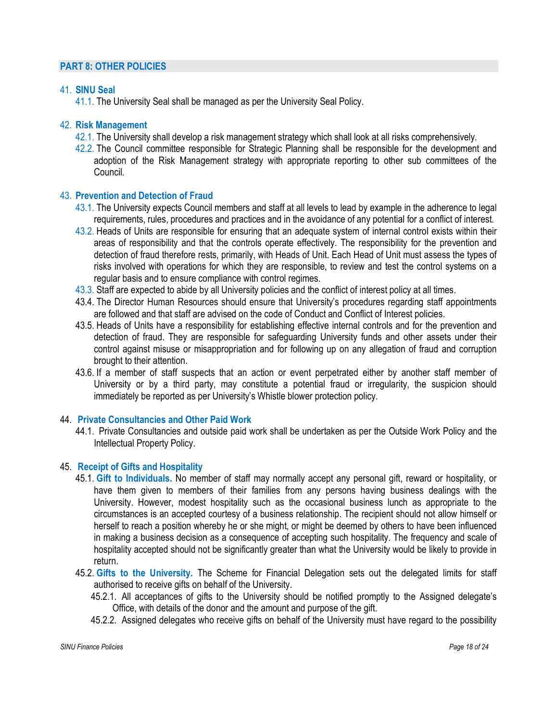# PART 8: OTHER POLICIES

# 41. SINU Seal

41.1. The University Seal shall be managed as per the University Seal Policy.

# 42. Risk Management

- 42.1. The University shall develop a risk management strategy which shall look at all risks comprehensively.
- 42.2. The Council committee responsible for Strategic Planning shall be responsible for the development and adoption of the Risk Management strategy with appropriate reporting to other sub committees of the Council.

# 43. Prevention and Detection of Fraud

- 43.1. The University expects Council members and staff at all levels to lead by example in the adherence to legal requirements, rules, procedures and practices and in the avoidance of any potential for a conflict of interest.
- 43.2. Heads of Units are responsible for ensuring that an adequate system of internal control exists within their areas of responsibility and that the controls operate effectively. The responsibility for the prevention and detection of fraud therefore rests, primarily, with Heads of Unit. Each Head of Unit must assess the types of risks involved with operations for which they are responsible, to review and test the control systems on a regular basis and to ensure compliance with control regimes.
- 43.3. Staff are expected to abide by all University policies and the conflict of interest policy at all times.
- 43.4. The Director Human Resources should ensure that University's procedures regarding staff appointments are followed and that staff are advised on the code of Conduct and Conflict of Interest policies.
- 43.5. Heads of Units have a responsibility for establishing effective internal controls and for the prevention and detection of fraud. They are responsible for safeguarding University funds and other assets under their control against misuse or misappropriation and for following up on any allegation of fraud and corruption brought to their attention.
- 43.6. If a member of staff suspects that an action or event perpetrated either by another staff member of University or by a third party, may constitute a potential fraud or irregularity, the suspicion should immediately be reported as per University's Whistle blower protection policy.

## 44. Private Consultancies and Other Paid Work

44.1. Private Consultancies and outside paid work shall be undertaken as per the Outside Work Policy and the Intellectual Property Policy.

## 45. Receipt of Gifts and Hospitality

- 45.1. Gift to Individuals. No member of staff may normally accept any personal gift, reward or hospitality, or have them given to members of their families from any persons having business dealings with the University. However, modest hospitality such as the occasional business lunch as appropriate to the circumstances is an accepted courtesy of a business relationship. The recipient should not allow himself or herself to reach a position whereby he or she might, or might be deemed by others to have been influenced in making a business decision as a consequence of accepting such hospitality. The frequency and scale of hospitality accepted should not be significantly greater than what the University would be likely to provide in return.
- 45.2. Gifts to the University. The Scheme for Financial Delegation sets out the delegated limits for staff authorised to receive gifts on behalf of the University.
	- 45.2.1. All acceptances of gifts to the University should be notified promptly to the Assigned delegate's Office, with details of the donor and the amount and purpose of the gift.
	- 45.2.2. Assigned delegates who receive gifts on behalf of the University must have regard to the possibility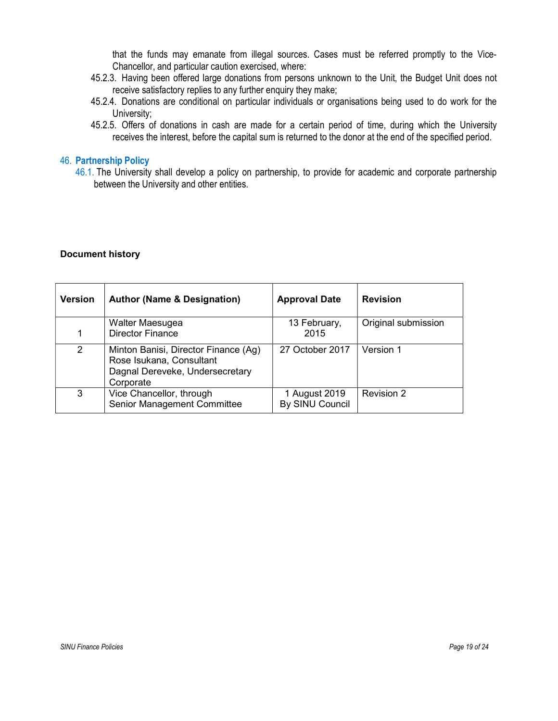that the funds may emanate from illegal sources. Cases must be referred promptly to the Vice-Chancellor, and particular caution exercised, where:

- 45.2.3. Having been offered large donations from persons unknown to the Unit, the Budget Unit does not receive satisfactory replies to any further enquiry they make;
- 45.2.4. Donations are conditional on particular individuals or organisations being used to do work for the University;
- 45.2.5. Offers of donations in cash are made for a certain period of time, during which the University receives the interest, before the capital sum is returned to the donor at the end of the specified period.

# 46. Partnership Policy

46.1. The University shall develop a policy on partnership, to provide for academic and corporate partnership between the University and other entities.

#### Document history

| <b>Version</b> | <b>Author (Name &amp; Designation)</b>                                                                           | <b>Approval Date</b>             | <b>Revision</b>     |
|----------------|------------------------------------------------------------------------------------------------------------------|----------------------------------|---------------------|
|                | Walter Maesugea                                                                                                  | 13 February,                     | Original submission |
| 1              | <b>Director Finance</b>                                                                                          | 2015                             |                     |
| $\overline{2}$ | Minton Banisi, Director Finance (Ag)<br>Rose Isukana, Consultant<br>Dagnal Dereveke, Undersecretary<br>Corporate | 27 October 2017                  | Version 1           |
| 3              | Vice Chancellor, through<br>Senior Management Committee                                                          | 1 August 2019<br>By SINU Council | Revision 2          |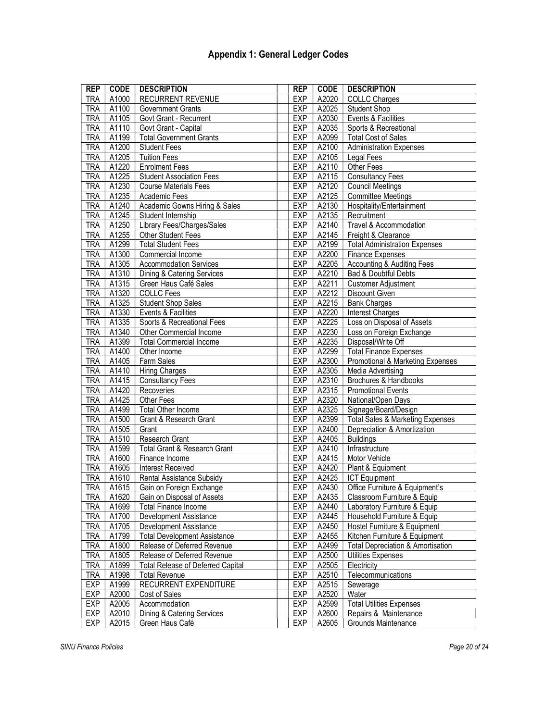# Appendix 1: General Ledger Codes

| <b>REP</b> | <b>CODE</b> | <b>DESCRIPTION</b>                                                       | <b>REP</b>                                             | <b>CODE</b>                                  | <b>DESCRIPTION</b>                          |  |
|------------|-------------|--------------------------------------------------------------------------|--------------------------------------------------------|----------------------------------------------|---------------------------------------------|--|
| <b>TRA</b> | A1000       | <b>RECURRENT REVENUE</b>                                                 | <b>EXP</b>                                             | A2020                                        | <b>COLLC Charges</b>                        |  |
| <b>TRA</b> | A1100       | <b>Government Grants</b>                                                 | <b>EXP</b>                                             | A2025                                        | <b>Student Shop</b>                         |  |
| <b>TRA</b> | A1105       | Govt Grant - Recurrent                                                   | <b>EXP</b>                                             | A2030<br>Events & Facilities                 |                                             |  |
| <b>TRA</b> | A1110       | Govt Grant - Capital                                                     | <b>EXP</b>                                             | A2035                                        | Sports & Recreational                       |  |
| <b>TRA</b> | A1199       | <b>Total Government Grants</b>                                           | <b>EXP</b>                                             | A2099<br><b>Total Cost of Sales</b>          |                                             |  |
| <b>TRA</b> | A1200       | <b>Student Fees</b>                                                      | A2100<br><b>EXP</b><br><b>Administration Expenses</b>  |                                              |                                             |  |
| TRA        | A1205       | <b>Tuition Fees</b>                                                      | Legal Fees                                             |                                              |                                             |  |
| <b>TRA</b> | A1220       | <b>Enrolment Fees</b>                                                    | EXP<br><b>EXP</b>                                      | A2105<br>A2110                               | Other Fees                                  |  |
| <b>TRA</b> | A1225       | <b>Student Association Fees</b>                                          | <b>EXP</b>                                             | A2115                                        | <b>Consultancy Fees</b>                     |  |
| <b>TRA</b> | A1230       | <b>Course Materials Fees</b>                                             | <b>EXP</b>                                             | A2120                                        | <b>Council Meetings</b>                     |  |
| <b>TRA</b> | A1235       | Academic Fees                                                            | EXP                                                    | A2125                                        | <b>Committee Meetings</b>                   |  |
| <b>TRA</b> | A1240       | Academic Gowns Hiring & Sales                                            | <b>EXP</b>                                             | A2130                                        | Hospitality/Entertainment                   |  |
| <b>TRA</b> | A1245       | Student Internship                                                       | <b>EXP</b>                                             | A2135                                        | Recruitment                                 |  |
| <b>TRA</b> | A1250       | Library Fees/Charges/Sales                                               | <b>EXP</b>                                             | A2140                                        | Travel & Accommodation                      |  |
| <b>TRA</b> | A1255       | Other Student Fees                                                       | <b>EXP</b>                                             | $\overline{A2145}$                           | Freight & Clearance                         |  |
| TRA        | A1299       | <b>Total Student Fees</b>                                                | <b>EXP</b>                                             | A2199                                        | <b>Total Administration Expenses</b>        |  |
| <b>TRA</b> | A1300       | Commercial Income                                                        | <b>EXP</b>                                             | A2200                                        | Finance Expenses                            |  |
| <b>TRA</b> | A1305       | <b>Accommodation Services</b>                                            | <b>EXP</b>                                             | A2205                                        | <b>Accounting &amp; Auditing Fees</b>       |  |
| <b>TRA</b> | A1310       | Dining & Catering Services                                               | <b>EXP</b>                                             | A2210                                        | Bad & Doubtful Debts                        |  |
| <b>TRA</b> | A1315       | Green Haus Café Sales                                                    | EXP                                                    | A2211                                        | <b>Customer Adjustment</b>                  |  |
| <b>TRA</b> | A1320       | <b>COLLC</b> Fees                                                        | <b>EXP</b>                                             | A2212                                        | Discount Given                              |  |
| <b>TRA</b> | A1325       | <b>Student Shop Sales</b>                                                | <b>EXP</b>                                             | A2215                                        | <b>Bank Charges</b>                         |  |
| <b>TRA</b> | A1330       | Events & Facilities                                                      | <b>EXP</b>                                             | A2220                                        | <b>Interest Charges</b>                     |  |
| <b>TRA</b> | A1335       | Sports & Recreational Fees                                               | <b>EXP</b>                                             | A2225                                        | Loss on Disposal of Assets                  |  |
| TRA        | A1340       | Other Commercial Income                                                  | <b>EXP</b>                                             | A2230                                        | Loss on Foreign Exchange                    |  |
| TRA        | A1399       | <b>Total Commercial Income</b>                                           | <b>EXP</b>                                             | A2235                                        | Disposal/Write Off                          |  |
| <b>TRA</b> | A1400       | Other Income                                                             | <b>EXP</b>                                             | A2299                                        | <b>Total Finance Expenses</b>               |  |
| <b>TRA</b> | A1405       | Farm Sales                                                               | <b>EXP</b>                                             | A2300                                        | Promotional & Marketing Expenses            |  |
| <b>TRA</b> | A1410       | <b>Hiring Charges</b>                                                    | <b>EXP</b>                                             | A2305                                        | Media Advertising                           |  |
| <b>TRA</b> | A1415       | Consultancy Fees<br>EXP<br>A2310                                         |                                                        | Brochures & Handbooks                        |                                             |  |
| <b>TRA</b> | A1420       | EXP<br>A2315<br>Recoveries                                               |                                                        | <b>Promotional Events</b>                    |                                             |  |
| <b>TRA</b> | A1425       | Other Fees                                                               | <b>EXP</b>                                             | A2320                                        | National/Open Days                          |  |
| <b>TRA</b> | A1499       | Total Other Income                                                       | <b>EXP</b>                                             | A2325                                        | Signage/Board/Design                        |  |
| TRA        | A1500       | Grant & Research Grant                                                   | <b>EXP</b>                                             | A2399                                        | <b>Total Sales &amp; Marketing Expenses</b> |  |
| <b>TRA</b> | A1505       | Grant                                                                    | <b>EXP</b>                                             | A2400                                        | Depreciation & Amortization                 |  |
| <b>TRA</b> | A1510       | Research Grant                                                           | <b>EXP</b>                                             | A2405                                        | <b>Buildings</b>                            |  |
| <b>TRA</b> | A1599       | Total Grant & Research Grant                                             | <b>EXP</b>                                             | A2410                                        | Infrastructure                              |  |
| <b>TRA</b> | A1600       | Finance Income                                                           | <b>EXP</b>                                             | A2415                                        | Motor Vehicle                               |  |
| <b>TRA</b> | A1605       | <b>Interest Received</b>                                                 | EXP                                                    | A2420                                        | Plant & Equipment                           |  |
| <b>TRA</b> | A1610       | Rental Assistance Subsidy                                                | EXP                                                    | A2425                                        | <b>ICT Equipment</b>                        |  |
| <b>TRA</b> | A1615       | Gain on Foreign Exchange                                                 | <b>EXP</b>                                             | A2430                                        | Office Furniture & Equipment's              |  |
| TRA        | A1620       | Gain on Disposal of Assets                                               | EXP                                                    | A2435                                        | Classroom Furniture & Equip                 |  |
| TRA        | A1699       | <b>Total Finance Income</b>                                              | EXP                                                    | A2440                                        | Laboratory Furniture & Equip                |  |
| TRA        | A1700       | Development Assistance                                                   | EXP                                                    | A2445                                        | Household Furniture & Equip                 |  |
| TRA        | A1705       | Development Assistance                                                   | EXP                                                    | A2450                                        | Hostel Furniture & Equipment                |  |
| <b>TRA</b> | A1799       | A2455<br><b>Total Development Assistance</b><br>EXP                      |                                                        | Kitchen Furniture & Equipment                |                                             |  |
| TRA        | A1800       | A2499<br>Release of Deferred Revenue<br>EXP                              |                                                        | <b>Total Depreciation &amp; Amortisation</b> |                                             |  |
| TRA        | A1805       | Release of Deferred Revenue<br>EXP<br>A2500<br><b>Utilities Expenses</b> |                                                        |                                              |                                             |  |
| TRA        | A1899       | A2505<br><b>Total Release of Deferred Capital</b><br>EXP<br>Electricity  |                                                        |                                              |                                             |  |
| <b>TRA</b> | A1998       | <b>Total Revenue</b>                                                     | EXP                                                    | A2510                                        | Telecommunications                          |  |
| EXP        | A1999       | RECURRENT EXPENDITURE                                                    | <b>EXP</b>                                             | A2515                                        | Sewerage                                    |  |
| EXP        | A2000       | Cost of Sales                                                            | EXP                                                    | A2520                                        | Water                                       |  |
| EXP        | A2005       | Accommodation                                                            | <b>EXP</b><br>A2599<br><b>Total Utilities Expenses</b> |                                              |                                             |  |
| <b>EXP</b> | A2010       | Dining & Catering Services                                               | <b>EXP</b>                                             | A2600                                        | Repairs & Maintenance                       |  |
| <b>EXP</b> | A2015       | <b>EXP</b><br>A2605<br>Green Haus Café<br>Grounds Maintenance            |                                                        |                                              |                                             |  |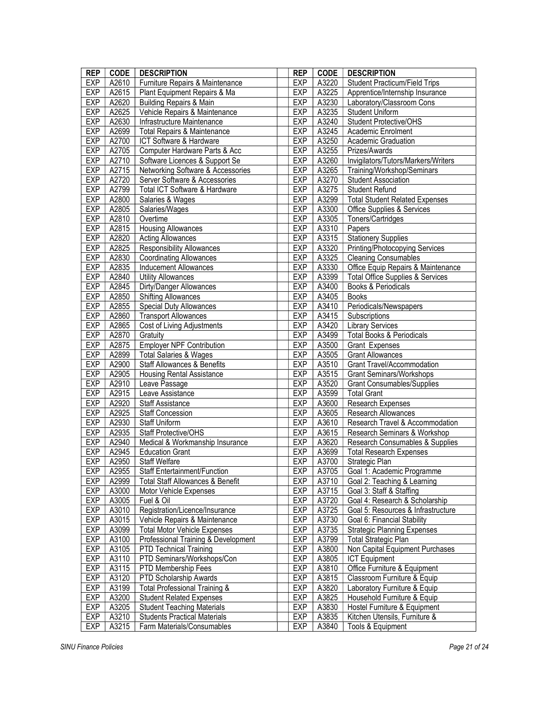| <b>REP</b> | <b>CODE</b> | <b>DESCRIPTION</b>                           | <b>REP</b> | <b>CODE</b> | <b>DESCRIPTION</b>                          |
|------------|-------------|----------------------------------------------|------------|-------------|---------------------------------------------|
| EXP        | A2610       | Furniture Repairs & Maintenance              | <b>EXP</b> | A3220       | <b>Student Practicum/Field Trips</b>        |
| <b>EXP</b> | A2615       | Plant Equipment Repairs & Ma                 | <b>EXP</b> | A3225       | Apprentice/Internship Insurance             |
| EXP        | A2620       | <b>Building Repairs &amp; Main</b>           | <b>EXP</b> | A3230       | Laboratory/Classroom Cons                   |
| <b>EXP</b> | A2625       | Vehicle Repairs & Maintenance                | <b>EXP</b> | A3235       | <b>Student Uniform</b>                      |
| EXP        | A2630       | Infrastructure Maintenance                   | <b>EXP</b> | A3240       | <b>Student Protective/OHS</b>               |
| <b>EXP</b> | A2699       | <b>Total Repairs &amp; Maintenance</b>       | <b>EXP</b> | A3245       | Academic Enrolment                          |
| EXP        | A2700       | ICT Software & Hardware                      | <b>EXP</b> | A3250       | Academic Graduation                         |
| <b>EXP</b> | A2705       | Computer Hardware Parts & Acc                | <b>EXP</b> | A3255       | Prizes/Awards                               |
| EXP        | A2710       | Software Licences & Support Se               | <b>EXP</b> | A3260       | Invigilators/Tutors/Markers/Writers         |
| <b>EXP</b> | A2715       | <b>Networking Software &amp; Accessories</b> | <b>EXP</b> | A3265       | Training/Workshop/Seminars                  |
| <b>EXP</b> | A2720       | Server Software & Accessories                | <b>EXP</b> | A3270       | <b>Student Association</b>                  |
| EXP        | A2799       | Total ICT Software & Hardware                | <b>EXP</b> | A3275       | <b>Student Refund</b>                       |
| <b>EXP</b> | A2800       | Salaries & Wages                             | <b>EXP</b> | A3299       | <b>Total Student Related Expenses</b>       |
| EXP        | A2805       | Salaries/Wages                               | <b>EXP</b> | A3300       | Office Supplies & Services                  |
| <b>EXP</b> | A2810       | Overtime                                     | <b>EXP</b> | A3305       | Toners/Cartridges                           |
| <b>EXP</b> | A2815       | <b>Housing Allowances</b>                    | <b>EXP</b> | A3310       | Papers                                      |
| <b>EXP</b> | A2820       | <b>Acting Allowances</b>                     | <b>EXP</b> | A3315       | <b>Stationery Supplies</b>                  |
| EXP        | A2825       | <b>Responsibility Allowances</b>             | <b>EXP</b> | A3320       | Printing/Photocopying Services              |
| <b>EXP</b> | A2830       | <b>Coordinating Allowances</b>               | <b>EXP</b> | A3325       | <b>Cleaning Consumables</b>                 |
| <b>EXP</b> | A2835       | <b>Inducement Allowances</b>                 | <b>EXP</b> | A3330       | Office Equip Repairs & Maintenance          |
| EXP        | A2840       | <b>Utility Allowances</b>                    | <b>EXP</b> | A3399       | <b>Total Office Supplies &amp; Services</b> |
| <b>EXP</b> | A2845       | Dirty/Danger Allowances                      | <b>EXP</b> | A3400       | Books & Periodicals                         |
| EXP        | A2850       | <b>Shifting Allowances</b>                   | <b>EXP</b> | A3405       | <b>Books</b>                                |
| <b>EXP</b> | A2855       | Special Duty Allowances                      | <b>EXP</b> | A3410       | Periodicals/Newspapers                      |
| <b>EXP</b> | A2860       | <b>Transport Allowances</b>                  | <b>EXP</b> | A3415       | Subscriptions                               |
| <b>EXP</b> | A2865       | Cost of Living Adjustments                   | <b>EXP</b> | A3420       | <b>Library Services</b>                     |
| EXP        | A2870       | Gratuity                                     | <b>EXP</b> | A3499       | <b>Total Books &amp; Periodicals</b>        |
| <b>EXP</b> | A2875       | <b>Employer NPF Contribution</b>             | <b>EXP</b> | A3500       | Grant Expenses                              |
| <b>EXP</b> | A2899       | <b>Total Salaries &amp; Wages</b>            | <b>EXP</b> | A3505       | <b>Grant Allowances</b>                     |
| EXP        | A2900       | Staff Allowances & Benefits                  | <b>EXP</b> | A3510       | <b>Grant Travel/Accommodation</b>           |
| EXP        | A2905       | <b>Housing Rental Assistance</b>             | <b>EXP</b> | A3515       | <b>Grant Seminars/Workshops</b>             |
| EXP        | A2910       | Leave Passage                                | <b>EXP</b> | A3520       | <b>Grant Consumables/Supplies</b>           |
| <b>EXP</b> | A2915       | Leave Assistance                             | <b>EXP</b> | A3599       | <b>Total Grant</b>                          |
| EXP        | A2920       | <b>Staff Assistance</b>                      | <b>EXP</b> | A3600       | Research Expenses                           |
| <b>EXP</b> | A2925       | <b>Staff Concession</b>                      | <b>EXP</b> | A3605       | Research Allowances                         |
| EXP        | A2930       | Staff Uniform                                | <b>EXP</b> | A3610       | Research Travel & Accommodation             |
| <b>EXP</b> | A2935       | Staff Protective/OHS                         | <b>EXP</b> | A3615       | Research Seminars & Workshop                |
| EXP        | A2940       | Medical & Workmanship Insurance              | <b>EXP</b> | A3620       | Research Consumables & Supplies             |
| <b>EXP</b> | A2945       | <b>Education Grant</b>                       | <b>EXP</b> | A3699       | <b>Total Research Expenses</b>              |
| EXP        | A2950       | Staff Welfare                                | <b>EXP</b> | A3700       | Strategic Plan                              |
| <b>EXP</b> | A2955       | Staff Entertainment/Function                 | <b>EXP</b> | A3705       | Goal 1: Academic Programme                  |
| EXP        | A2999       | Total Staff Allowances & Benefit             | <b>EXP</b> | A3710       | Goal 2: Teaching & Learning                 |
| EXP        | A3000       | Motor Vehicle Expenses                       | <b>EXP</b> | A3715       | Goal 3: Staff & Staffing                    |
| <b>EXP</b> | A3005       | Fuel & Oil                                   | <b>EXP</b> | A3720       | Goal 4: Research & Scholarship              |
| EXP        | A3010       | Registration/Licence/Insurance               | <b>EXP</b> | A3725       | Goal 5: Resources & Infrastructure          |
| EXP        | A3015       | Vehicle Repairs & Maintenance                | <b>EXP</b> | A3730       | Goal 6: Financial Stability                 |
| <b>EXP</b> | A3099       | <b>Total Motor Vehicle Expenses</b>          | <b>EXP</b> | A3735       | <b>Strategic Planning Expenses</b>          |
| EXP        | A3100       | Professional Training & Development          | EXP        | A3799       | <b>Total Strategic Plan</b>                 |
| EXP        | A3105       | <b>PTD Technical Training</b>                | <b>EXP</b> | A3800       | Non Capital Equipment Purchases             |
| <b>EXP</b> | A3110       | PTD Seminars/Workshops/Con                   | <b>EXP</b> | A3805       | <b>ICT</b> Equipment                        |
| <b>EXP</b> | A3115       | PTD Membership Fees                          | <b>EXP</b> | A3810       | Office Furniture & Equipment                |
| EXP        | A3120       | PTD Scholarship Awards                       | EXP        | A3815       | Classroom Furniture & Equip                 |
| <b>EXP</b> | A3199       | <b>Total Professional Training &amp;</b>     | <b>EXP</b> | A3820       | Laboratory Furniture & Equip                |
| EXP        | A3200       | <b>Student Related Expenses</b>              | <b>EXP</b> | A3825       | Household Furniture & Equip                 |
| EXP        | A3205       | <b>Student Teaching Materials</b>            | EXP        | A3830       | Hostel Furniture & Equipment                |
| EXP        | A3210       | <b>Students Practical Materials</b>          | <b>EXP</b> | A3835       | Kitchen Utensils, Furniture &               |
| EXP        | A3215       | Farm Materials/Consumables                   | EXP        | A3840       | Tools & Equipment                           |
|            |             |                                              |            |             |                                             |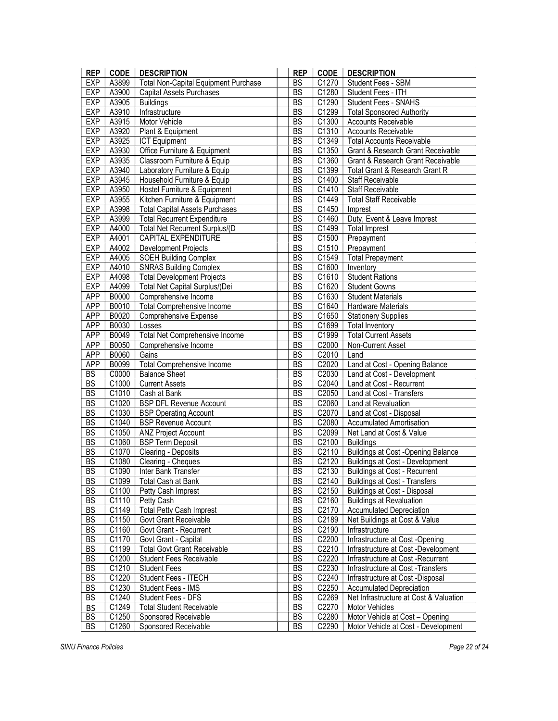| <b>REP</b> | <b>CODE</b>         | <b>DESCRIPTION</b>                          | <b>REP</b> | <b>CODE</b>        | <b>DESCRIPTION</b>                           |
|------------|---------------------|---------------------------------------------|------------|--------------------|----------------------------------------------|
| EXP        | A3899               | <b>Total Non-Capital Equipment Purchase</b> | <b>BS</b>  | C1270              | Student Fees - SBM                           |
| <b>EXP</b> | A3900               | <b>Capital Assets Purchases</b>             | C1280      | Student Fees - ITH |                                              |
| EXP        | A3905               | <b>Buildings</b>                            | BS         | C1290              | <b>Student Fees - SNAHS</b>                  |
| <b>EXP</b> | A3910               | Infrastructure                              | <b>BS</b>  | C1299              | <b>Total Sponsored Authority</b>             |
| EXP        | A3915               | Motor Vehicle                               | <b>BS</b>  | C1300              | <b>Accounts Receivable</b>                   |
| <b>EXP</b> | A3920               | Plant & Equipment                           | <b>BS</b>  | C1310              | <b>Accounts Receivable</b>                   |
| <b>EXP</b> | A3925               | <b>ICT Equipment</b>                        | <b>BS</b>  | C1349              | <b>Total Accounts Receivable</b>             |
| <b>EXP</b> | A3930               | Office Furniture & Equipment                | BS         | C1350              | <b>Grant &amp; Research Grant Receivable</b> |
| <b>EXP</b> | A3935               | Classroom Furniture & Equip                 | <b>BS</b>  | C1360              | Grant & Research Grant Receivable            |
| EXP        | A3940               | Laboratory Furniture & Equip                | BS         | C1399              | Total Grant & Research Grant R               |
| <b>EXP</b> | A3945               | Household Furniture & Equip                 | <b>BS</b>  | C1400              | Staff Receivable                             |
| EXP        | A3950               | Hostel Furniture & Equipment                | <b>BS</b>  | C1410              | Staff Receivable                             |
| <b>EXP</b> | A3955               | Kitchen Furniture & Equipment               | <b>BS</b>  | C1449              | <b>Total Staff Receivable</b>                |
| EXP        | A3998               | <b>Total Capital Assets Purchases</b>       | <b>BS</b>  | C1450              | Imprest                                      |
| <b>EXP</b> | A3999               | <b>Total Recurrent Expenditure</b>          | <b>BS</b>  | C1460              | Duty, Event & Leave Imprest                  |
| EXP        | A4000               | Total Net Recurrent Surplus/(D              | <b>BS</b>  | C1499              | Total Imprest                                |
| <b>EXP</b> | A4001               | CAPITAL EXPENDITURE                         | BS         | C1500              | Prepayment                                   |
| <b>EXP</b> | A4002               | <b>Development Projects</b>                 | <b>BS</b>  | C1510              | Prepayment                                   |
| EXP        | A4005               | <b>SOEH Building Complex</b>                | BS         | C1549              | <b>Total Prepayment</b>                      |
| <b>EXP</b> | A4010               | <b>SNRAS Building Complex</b>               | <b>BS</b>  | C1600              | Inventory                                    |
| EXP        | A4098               | <b>Total Development Projects</b>           | <b>BS</b>  | C1610              | <b>Student Rations</b>                       |
| <b>EXP</b> | A4099               | Total Net Capital Surplus/(Dei              | <b>BS</b>  | C1620              | <b>Student Gowns</b>                         |
| APP        | B0000               | Comprehensive Income                        | <b>BS</b>  | C1630              | <b>Student Materials</b>                     |
| APP        | <b>B0010</b>        | Total Comprehensive Income                  | <b>BS</b>  | C1640              | Hardware Materials                           |
| APP        | B0020               | <b>Comprehensive Expense</b>                | <b>BS</b>  | C1650              | <b>Stationery Supplies</b>                   |
| <b>APP</b> | B0030               | Losses                                      | BS         | C1699              | <b>Total Inventory</b>                       |
| APP        | B0049               | Total Net Comprehensive Income              | <b>BS</b>  | C1999              | <b>Total Current Assets</b>                  |
| APP        | B0050               | Comprehensive Income                        | BS         | C2000              | Non-Current Asset                            |
| <b>APP</b> | B0060               | Gains                                       | <b>BS</b>  | C2010              | Land                                         |
| APP        | B0099               | <b>Total Comprehensive Income</b>           | <b>BS</b>  | C2020              | Land at Cost - Opening Balance               |
| BS         | C0000               | <b>Balance Sheet</b>                        | <b>BS</b>  | C2030              | Land at Cost - Development                   |
| <b>BS</b>  | C1000               | <b>Current Assets</b>                       | BS         | C2040              | Land at Cost - Recurrent                     |
| BS         | C1010               | Cash at Bank                                | <b>BS</b>  | C2050              | Land at Cost - Transfers                     |
| BS         | C1020               | <b>BSP DFL Revenue Account</b>              | <b>BS</b>  | C2060              | Land at Revaluation                          |
| <b>BS</b>  | C1030               | <b>BSP Operating Account</b>                | BS         | C2070              | Land at Cost - Disposal                      |
| BS         | C1040               | <b>BSP Revenue Account</b>                  | <b>BS</b>  | C2080              | <b>Accumulated Amortisation</b>              |
| BS         | C1050               | <b>ANZ Project Account</b>                  | <b>BS</b>  | C2099              | Net Land at Cost & Value                     |
| <b>BS</b>  | C1060               | <b>BSP Term Deposit</b>                     | <b>BS</b>  | C2100              | <b>Buildings</b>                             |
| <b>BS</b>  | C1070               | Clearing - Deposits                         | BS         | C2110              | <b>Buildings at Cost -Opening Balance</b>    |
| BS         | C1080               | Clearing - Cheques                          | BS         | C2120              | Buildings at Cost - Development              |
| <b>BS</b>  | C1090               | Inter Bank Transfer                         | <b>BS</b>  | C2130              | <b>Buildings at Cost - Recurrent</b>         |
| <b>BS</b>  | C1099               | Total Cash at Bank                          | BS         | C2140              | <b>Buildings at Cost - Transfers</b>         |
| <b>BS</b>  | C1100               | Petty Cash Imprest                          | <b>BS</b>  | C2150              | Buildings at Cost - Disposal                 |
| <b>BS</b>  | C1110               | Petty Cash                                  | BS         | C2160              | <b>Buildings at Revaluation</b>              |
| BS         | C1149               | <b>Total Petty Cash Imprest</b>             | <b>BS</b>  | C2170              | <b>Accumulated Depreciation</b>              |
| BS         | C1150               | Govt Grant Receivable                       | BS         | C2189              | Net Buildings at Cost & Value                |
| BS         | $\overline{C1160}$  | Govt Grant - Recurrent                      | <b>BS</b>  | C2190              | Infrastructure                               |
| BS         | C1170               | Govt Grant - Capital                        | BS         | C2200              | Infrastructure at Cost -Opening              |
| BS         | C1199               | <b>Total Govt Grant Receivable</b>          | <b>BS</b>  | C2210              | Infrastructure at Cost -Development          |
| BS         | C1200               | Student Fees Receivable                     | BS         | C2220              | Infrastructure at Cost -Recurrent            |
| BS         | C1210               | <b>Student Fees</b>                         | <b>BS</b>  | C2230              | Infrastructure at Cost -Transfers            |
| <b>BS</b>  | C1220               | Student Fees - ITECH                        | <b>BS</b>  | C2240              | Infrastructure at Cost -Disposal             |
| <b>BS</b>  | C1230               | Student Fees - IMS                          | BS         | C2250              | <b>Accumulated Depreciation</b>              |
| BS         | C1240               | Student Fees - DFS                          | <b>BS</b>  | C2269              | Net Infrastructure at Cost & Valuation       |
| <b>BS</b>  | C1249               | <b>Total Student Receivable</b>             | BS         | C2270              | Motor Vehicles                               |
| <b>BS</b>  | $\overline{C}$ 1250 | Sponsored Receivable                        | <b>BS</b>  | C2280              | Motor Vehicle at Cost - Opening              |
| <b>BS</b>  | C1260               | Sponsored Receivable                        | BS         | C2290              | Motor Vehicle at Cost - Development          |
|            |                     |                                             |            |                    |                                              |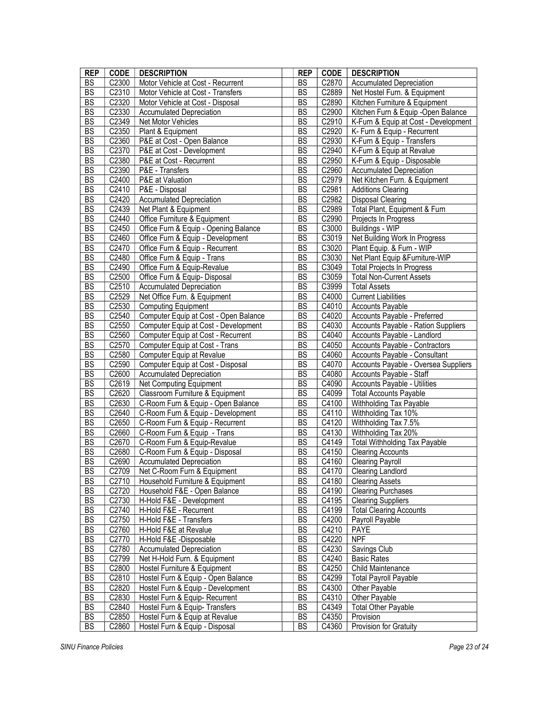| <b>REP</b>      | <b>CODE</b>         | <b>DESCRIPTION</b>                    | <b>REP</b>             | <b>CODE</b> | <b>DESCRIPTION</b>                   |
|-----------------|---------------------|---------------------------------------|------------------------|-------------|--------------------------------------|
| <b>BS</b>       | C2300               | Motor Vehicle at Cost - Recurrent     |                        | C2870       | <b>Accumulated Depreciation</b>      |
| <b>BS</b>       | C <sub>2310</sub>   | Motor Vehicle at Cost - Transfers     | <b>BS</b><br><b>BS</b> | C2889       | Net Hostel Furn. & Equipment         |
| BS              | C2320               | Motor Vehicle at Cost - Disposal      | <b>BS</b>              | C2890       | Kitchen Furniture & Equipment        |
| $\overline{BS}$ | C2330               | <b>Accumulated Depreciation</b>       | <b>BS</b>              | C2900       | Kitchen Furn & Equip -Open Balance   |
| BS              | C2349               | Net Motor Vehicles                    | <b>BS</b>              | C2910       | K-Furn & Equip at Cost - Development |
| BS              | C2350               | Plant & Equipment                     | <b>BS</b>              | C2920       | K- Furn & Equip - Recurrent          |
| BS              | C2360               | P&E at Cost - Open Balance            | <b>BS</b>              | C2930       | K-Furn & Equip - Transfers           |
| BS              | C2370               | P&E at Cost - Development             | <b>BS</b>              | C2940       | K-Furn & Equip at Revalue            |
| BS              | C2380               | P&E at Cost - Recurrent               | <b>BS</b>              | C2950       | K-Furn & Equip - Disposable          |
| BS              | C2390               | P&E - Transfers                       | <b>BS</b>              | C2960       | <b>Accumulated Depreciation</b>      |
| BS              | C2400               | P&E at Valuation                      | <b>BS</b>              | C2979       | Net Kitchen Furn. & Equipment        |
| BS              |                     | P&E - Disposal                        | <b>BS</b>              |             |                                      |
|                 | C2410               |                                       |                        | C2981       | <b>Additions Clearing</b>            |
| BS              | C2420               | <b>Accumulated Depreciation</b>       | <b>BS</b>              | C2982       | <b>Disposal Clearing</b>             |
| BS              | C2439               | Net Plant & Equipment                 | <b>BS</b>              | C2989       | Total Plant, Equipment & Furn        |
| BS              | $\overline{C2}440$  | Office Furniture & Equipment          | <b>BS</b>              | C2990       | Projects In Progress                 |
| BS              | C2450               | Office Furn & Equip - Opening Balance | BS                     | C3000       | Buildings - WIP                      |
| BS              | C2460               | Office Furn & Equip - Development     | <b>BS</b>              | C3019       | Net Building Work In Progress        |
| BS              | C2470               | Office Furn & Equip - Recurrent       | <b>BS</b>              | C3020       | Plant Equip. & Furn - WIP            |
| BS              | C2480               | Office Furn & Equip - Trans           | <b>BS</b>              | C3030       | Net Plant Equip & Furniture-WIP      |
| BS              | C2490               | Office Furn & Equip-Revalue           | <b>BS</b>              | C3049       | <b>Total Projects In Progress</b>    |
| BS              | C2500               | Office Furn & Equip- Disposal         | <b>BS</b>              | C3059       | <b>Total Non-Current Assets</b>      |
| BS              | C2510               | <b>Accumulated Depreciation</b>       | <b>BS</b>              | C3999       | <b>Total Assets</b>                  |
| BS              | C2529               | Net Office Furn. & Equipment          | <b>BS</b>              | C4000       | <b>Current Liabilities</b>           |
| BS              | C <sub>2530</sub>   | <b>Computing Equipment</b>            | <b>BS</b>              | C4010       | <b>Accounts Payable</b>              |
| BS              | C2540               | Computer Equip at Cost - Open Balance | BS                     | C4020       | Accounts Payable - Preferred         |
| BS              | C2550               | Computer Equip at Cost - Development  | <b>BS</b>              | C4030       | Accounts Payable - Ration Suppliers  |
| BS              | C2560               | Computer Equip at Cost - Recurrent    | <b>BS</b>              | C4040       | Accounts Payable - Landlord          |
| BS              | C2570               | Computer Equip at Cost - Trans        | <b>BS</b>              | C4050       | Accounts Payable - Contractors       |
| BS              | C2580               | Computer Equip at Revalue             | <b>BS</b>              | C4060       | Accounts Payable - Consultant        |
| BS              | C2590               | Computer Equip at Cost - Disposal     | <b>BS</b>              | C4070       | Accounts Payable - Oversea Suppliers |
| BS              | C2600               | <b>Accumulated Depreciation</b>       | <b>BS</b>              | C4080       | Accounts Payable - Staff             |
| <b>BS</b>       | C2619               | Net Computing Equipment               | BS                     | C4090       | Accounts Payable - Utilities         |
| BS              | C2620               | Classroom Furniture & Equipment       | <b>BS</b>              | C4099       | <b>Total Accounts Payable</b>        |
| BS              | C <sub>2630</sub>   | C-Room Furn & Equip - Open Balance    | BS                     | C4100       | Withholding Tax Payable              |
| BS              | C2640               | C-Room Furn & Equip - Development     | <b>BS</b>              | C4110       | Withholding Tax 10%                  |
| BS              | C2650               | C-Room Furn & Equip - Recurrent       | <b>BS</b>              | C4120       | Withholding Tax 7.5%                 |
| BS              | C2660               | C-Room Furn & Equip - Trans           | <b>BS</b>              | C4130       | Withholding Tax 20%                  |
| BS              | C <sub>2670</sub>   | C-Room Furn & Equip-Revalue           | <b>BS</b>              | C4149       | <b>Total Withholding Tax Payable</b> |
| <b>BS</b>       | C2680               | C-Room Furn & Equip - Disposal        | <b>BS</b>              | C4150       | <b>Clearing Accounts</b>             |
| BS              | C2690               | <b>Accumulated Depreciation</b>       | <b>BS</b>              | C4160       | <b>Clearing Payroll</b>              |
| BS              | C2709               | Net C-Room Furn & Equipment           | <b>BS</b>              | C4170       | Clearing Landlord                    |
| <b>BS</b>       | C2710               | Household Furniture & Equipment       | BS                     | C4180       | <b>Clearing Assets</b>               |
| BS              | C2720               | Household F&E - Open Balance          | BS                     | C4190       | <b>Clearing Purchases</b>            |
| BS              | C2730               | H-Hold F&E - Development              | BS                     | C4195       | <b>Clearing Suppliers</b>            |
| BS              | C2740               | H-Hold F&E - Recurrent                | <b>BS</b>              | C4199       | <b>Total Clearing Accounts</b>       |
| BS              | C2750               | H-Hold F&E - Transfers                | <b>BS</b>              | C4200       | Payroll Payable                      |
| BS              | C2760               | H-Hold F&E at Revalue                 |                        | C4210       |                                      |
| BS              |                     |                                       | <b>BS</b>              |             | <b>PAYE</b><br><b>NPF</b>            |
|                 | C2770               | H-Hold F&E -Disposable                | <b>BS</b>              | C4220       |                                      |
| BS              | C2780               | <b>Accumulated Depreciation</b>       | <b>BS</b>              | C4230       | Savings Club                         |
| BS              | C2799               | Net H-Hold Furn. & Equipment          | <b>BS</b>              | C4240       | <b>Basic Rates</b>                   |
| BS              | C2800               | Hostel Furniture & Equipment          | <b>BS</b>              | C4250       | Child Maintenance                    |
| BS              | C2810               | Hostel Furn & Equip - Open Balance    | BS                     | C4299       | <b>Total Payroll Payable</b>         |
| BS              | C2820               | Hostel Furn & Equip - Development     | BS                     | C4300       | Other Payable                        |
| BS              | C2830               | Hostel Furn & Equip- Recurrent        | BS                     | C4310       | Other Payable                        |
| BS              | C2840               | Hostel Furn & Equip- Transfers        | <b>BS</b>              | C4349       | <b>Total Other Payable</b>           |
| BS              | $\overline{C}$ 2850 | Hostel Furn & Equip at Revalue        | <b>BS</b>              | C4350       | Provision                            |
| BS              | C2860               | Hostel Furn & Equip - Disposal        | <b>BS</b>              | C4360       | Provision for Gratuity               |